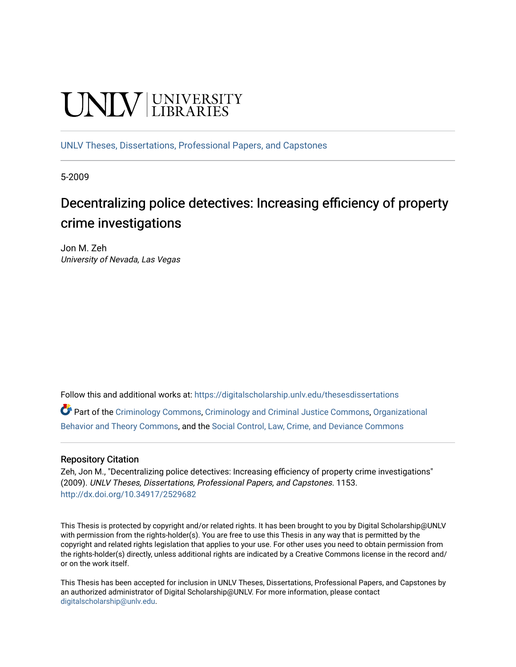# **UNIVERSITY**

[UNLV Theses, Dissertations, Professional Papers, and Capstones](https://digitalscholarship.unlv.edu/thesesdissertations)

5-2009

# Decentralizing police detectives: Increasing efficiency of property crime investigations

Jon M. Zeh University of Nevada, Las Vegas

Follow this and additional works at: [https://digitalscholarship.unlv.edu/thesesdissertations](https://digitalscholarship.unlv.edu/thesesdissertations?utm_source=digitalscholarship.unlv.edu%2Fthesesdissertations%2F1153&utm_medium=PDF&utm_campaign=PDFCoverPages)

Part of the [Criminology Commons](http://network.bepress.com/hgg/discipline/417?utm_source=digitalscholarship.unlv.edu%2Fthesesdissertations%2F1153&utm_medium=PDF&utm_campaign=PDFCoverPages), [Criminology and Criminal Justice Commons,](http://network.bepress.com/hgg/discipline/367?utm_source=digitalscholarship.unlv.edu%2Fthesesdissertations%2F1153&utm_medium=PDF&utm_campaign=PDFCoverPages) [Organizational](http://network.bepress.com/hgg/discipline/639?utm_source=digitalscholarship.unlv.edu%2Fthesesdissertations%2F1153&utm_medium=PDF&utm_campaign=PDFCoverPages) [Behavior and Theory Commons,](http://network.bepress.com/hgg/discipline/639?utm_source=digitalscholarship.unlv.edu%2Fthesesdissertations%2F1153&utm_medium=PDF&utm_campaign=PDFCoverPages) and the [Social Control, Law, Crime, and Deviance Commons](http://network.bepress.com/hgg/discipline/429?utm_source=digitalscholarship.unlv.edu%2Fthesesdissertations%2F1153&utm_medium=PDF&utm_campaign=PDFCoverPages)

# Repository Citation

Zeh, Jon M., "Decentralizing police detectives: Increasing efficiency of property crime investigations" (2009). UNLV Theses, Dissertations, Professional Papers, and Capstones. 1153. <http://dx.doi.org/10.34917/2529682>

This Thesis is protected by copyright and/or related rights. It has been brought to you by Digital Scholarship@UNLV with permission from the rights-holder(s). You are free to use this Thesis in any way that is permitted by the copyright and related rights legislation that applies to your use. For other uses you need to obtain permission from the rights-holder(s) directly, unless additional rights are indicated by a Creative Commons license in the record and/ or on the work itself.

This Thesis has been accepted for inclusion in UNLV Theses, Dissertations, Professional Papers, and Capstones by an authorized administrator of Digital Scholarship@UNLV. For more information, please contact [digitalscholarship@unlv.edu](mailto:digitalscholarship@unlv.edu).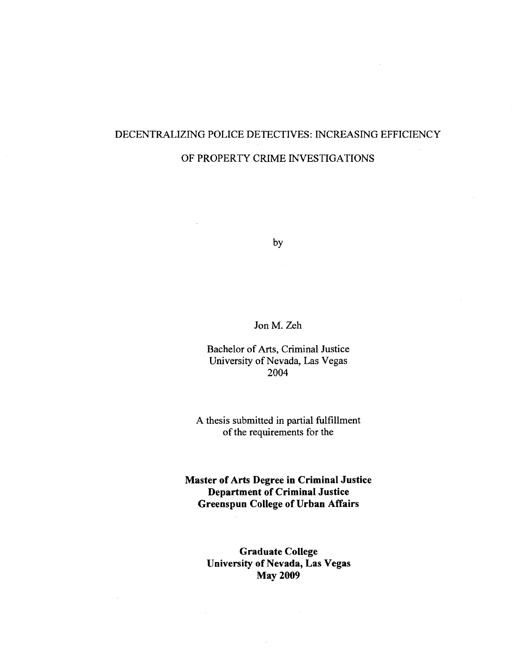# DECENTRALIZING POLICE DETECTIVES: INCREASING EFFICIENCY OF PROPERTY CRIME INVESTIGATIONS

by

 $\overline{\phantom{a}}$ 

 $\sim$ 

Jon M. Zeh

Bachelor of Arts, Criminal Justice University of Nevada, Las Vegas 2004

A thesis submitted in partial fulfillment of the requirements for the

**Master of Arts Degree in Criminal Justice Department of Criminal Justice Greenspun College of Urban Affairs** 

> **Graduate College University of Nevada, Las Vegas May 2009**

> > $\mathcal{A}$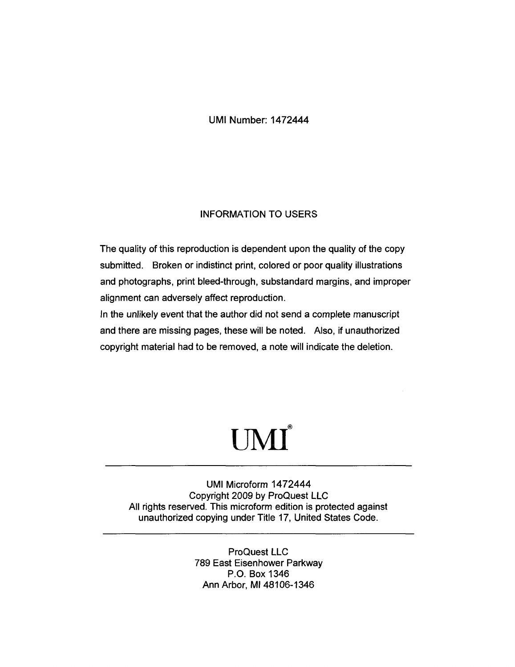UMI Number: 1472444

# INFORMATION TO USERS

The quality of this reproduction is dependent upon the quality of the copy submitted. Broken or indistinct print, colored or poor quality illustrations and photographs, print bleed-through, substandard margins, and improper alignment can adversely affect reproduction.

In the unlikely event that the author did not send a complete manuscript and there are missing pages, these will be noted. Also, if unauthorized copyright material had to be removed, a note will indicate the deletion.

# UMI\*

UMI Microform 1472444 Copyright 2009 by ProQuest LLC All rights reserved. This microform edition is protected against unauthorized copying under Title 17, United States Code.

> ProQuest LLC 789 East Eisenhower Parkway P.O. Box 1346 Ann Arbor, Ml 48106-1346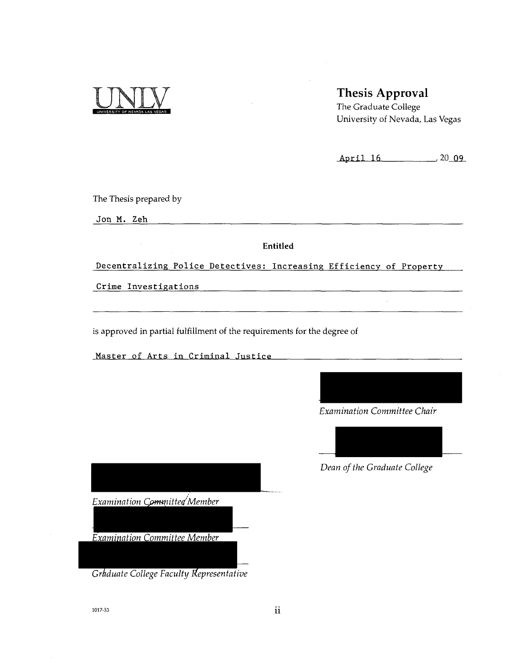# Thesis Approval

The Graduate College University of Nevada, Las Vegas

**April 16** \_,20\_Q9\_

The Thesis prepared by

**Jon** M. Zeh

**Entitled** 

Decentralizing Police Detectives: Increasing Efficiency of Property

Crime Investigations

is approved in partial fulfillment of the requirements for the degree of

Master of Arts in Criminal Justice



*Dean of the Graduate College* 

*Examination Committee Member* 

*Examination Committee Member* 

*Graduate College Faculty Representative* 

1017-53 **11**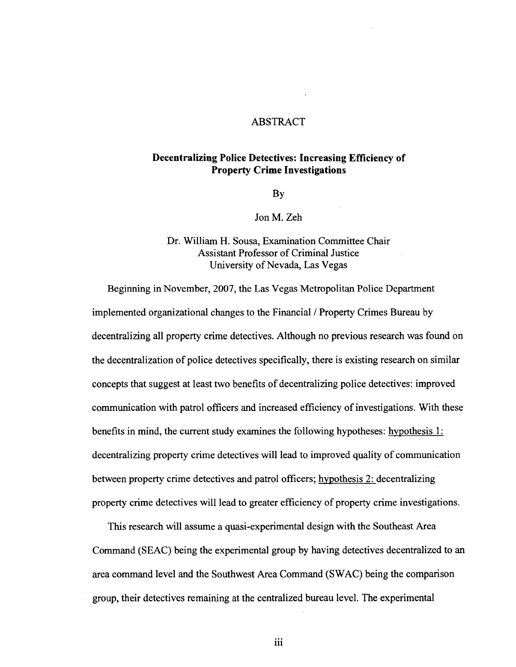# ABSTRACT

# **Decentralizing Police Detectives: Increasing Efficiency of Property Crime Investigations**

By

Jon M. Zeh

# Dr. William H. Sousa, Examination Committee Chair Assistant Professor of Criminal Justice

Beginning in November, 2007, the Las Vegas Metropolitan Police Department implemented organizational changes to the Financial / Property Crimes Bureau by decentralizing all property crime detectives. Although no previous research was found on the decentralization of police detectives specifically, there is existing research on similar concepts that suggest at least two benefits of decentralizing police detectives: improved communication with patrol officers and increased efficiency of investigations. With these benefits in mind, the current study examines the following hypotheses: hypothesis 1: decentralizing property crime detectives will lead to improved quality of communication between property crime detectives and patrol officers; hypothesis 2: decentralizing between property crime detectives and patrol officers; hypothesis 2: decentralizing property crime detectives will lead to greater efficiency of property crime investigations. property crime detectives will lead to greater efficiency of property crime investigations.

This research will assume a quasi-experimental design with the Southeast Area This research will assume a quasi-experimental design with the Southeast Area Command (SEAC) being the experimental group by having detectives decentralized to an Command (SEAC) being the experimental group by having detectives decentralized to an area command level and the Southwest Area Command (SWAC) being the comparison are community and the Southwest Area Community  $\mathcal{L}_{\mathcal{A}}$  and the comparison being the comparison being the comparison being the comparison being the comparison being the comparison being the comparison being the comp  $\mathcal{O}$  the centralized bureau level. The experimentalized bureau level. The experimentalized bureau level. The experimentalized bureau level. The experimentalized bureau level. The experimentalized bureau level. The exp

iii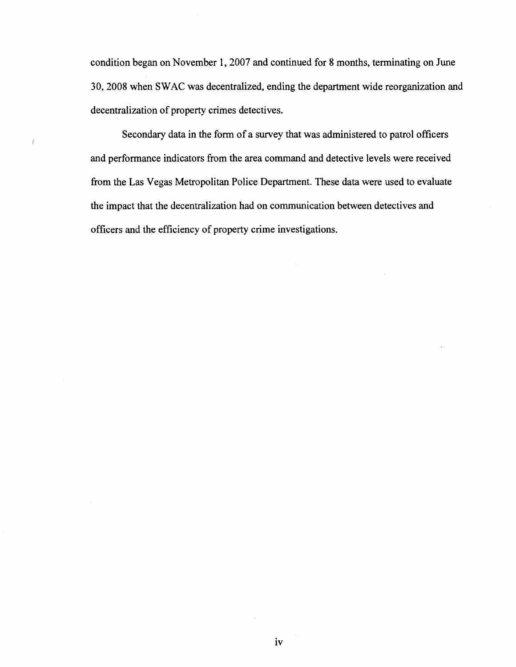condition began on November 1, 2007 and continued for 8 months, terminating on June 30, 2008 when SWAC was decentralized, ending the department wide reorganization and decentralization of property crimes detectives.

Secondary data in the form of a survey that was administered to patrol officers and performance indicators from the area command and detective levels were received from the Las Vegas Metropolitan Police Department. These data were used to evaluate the impact that the decentralization had on communication between detectives and officers and the efficiency of property crime investigations.

 $\langle$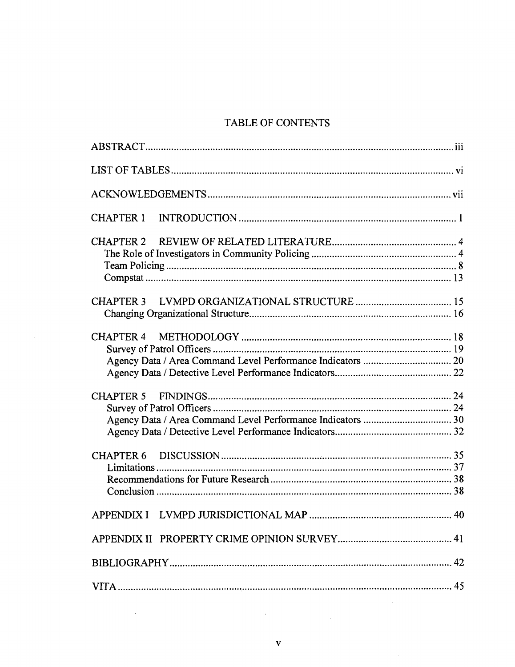# TABLE OF CONTENTS

| <b>CHAPTER 1</b> |
|------------------|
|                  |
|                  |
|                  |
|                  |
|                  |
|                  |
|                  |
|                  |
|                  |

 $\hat{\boldsymbol{\beta}}$ 

 $\bar{z}$ 

 $\bar{t}$ 

 $\sim$ 

 $\bar{z}$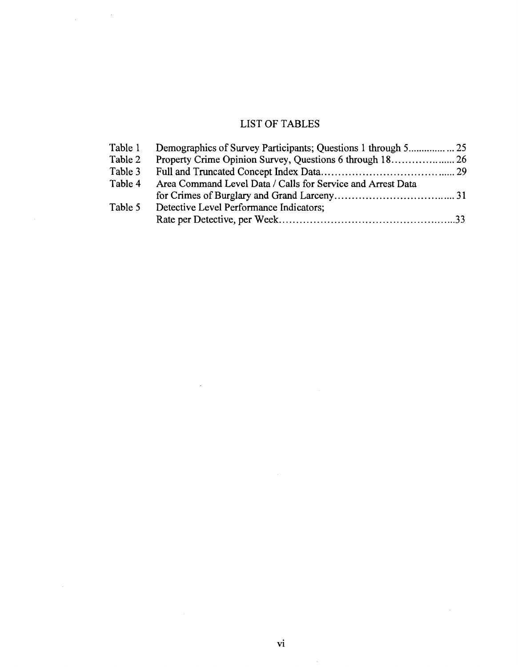# LIST OF TABLES

 $\label{eq:2.1} \frac{1}{\sqrt{2\pi}}\int_{0}^{\infty}\frac{1}{\sqrt{2\pi}}\left(\frac{1}{\sqrt{2\pi}}\right)^{2}d\mu\,d\mu\,.$ 

 $\sim$ 

| Area Command Level Data / Calls for Service and Arrest Data |  |
|-------------------------------------------------------------|--|
|                                                             |  |
| Detective Level Performance Indicators;                     |  |
|                                                             |  |
|                                                             |  |

 $\ddot{\phantom{a}}$ 

 $\sim$ 

 $\bar{\gamma}$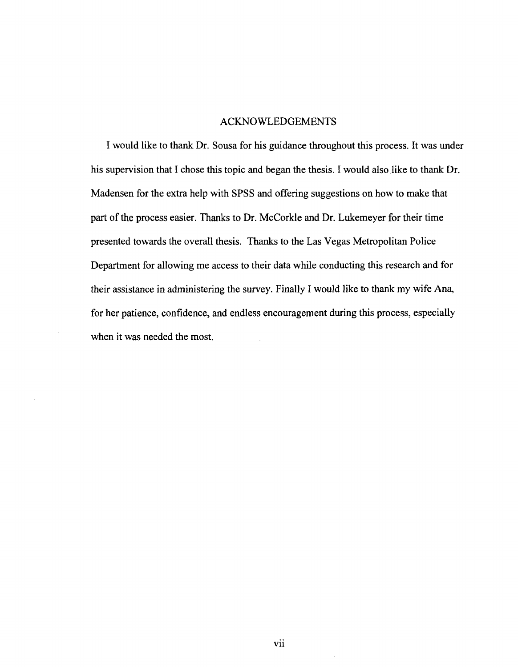## ACKNOWLEDGEMENTS

I would like to thank Dr. Sousa for his guidance throughout this process. It was under his supervision that I chose this topic and began the thesis. I would also like to thank Dr. Madensen for the extra help with SPSS and offering suggestions on how to make that part of the process easier. Thanks to Dr. McCorkle and Dr. Lukemeyer for their time presented towards the overall thesis. Thanks to the Las Vegas Metropolitan Police Department for allowing me access to their data while conducting this research and for their assistance in administering the survey. Finally I would like to thank my wife Ana, for her patience, confidence, and endless encouragement during this process, especially when it was needed the most.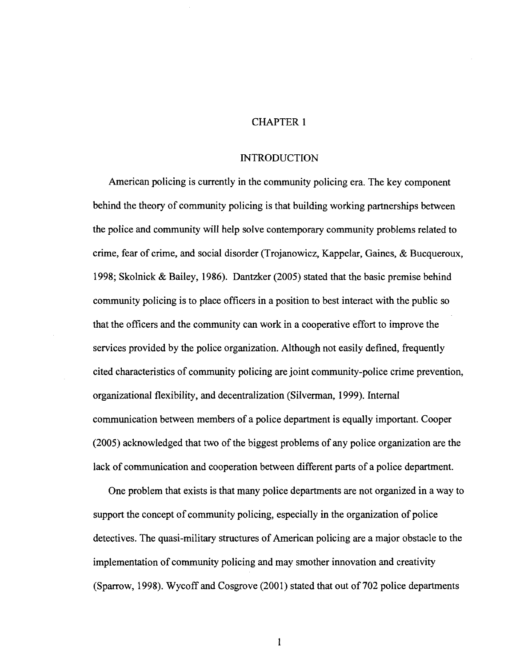# CHAPTER 1

#### **INTRODUCTION**

American policing is currently in the community policing era. The key component behind the theory of community policing is that building working partnerships between the police and community will help solve contemporary community problems related to crime, fear of crime, and social disorder (Trojanowicz, Kappelar, Gaines, & Bucqueroux, 1998; Skolnick & Bailey, 1986). Dantzker (2005) stated that the basic premise behind community policing is to place officers in a position to best interact with the public so that the officers and the community can work in a cooperative effort to improve the services provided by the police organization. Although not easily defined, frequently cited characteristics of community policing are joint community-police crime prevention, organizational flexibility, and decentralization (Silverman, 1999). Internal communication between members of a police department is equally important. Cooper (2005) acknowledged that two of the biggest problems of any police organization are the lack of communication and cooperation between different parts of a police department.

One problem that exists is that many police departments are not organized in a way to support the concept of community policing, especially in the organization of police detectives. The quasi-military structures of American policing are a major obstacle to the implementation of community policing and may smother innovation and creativity (Sparrow, 1998). Wycoff and Cosgrove (2001) stated that out of 702 police departments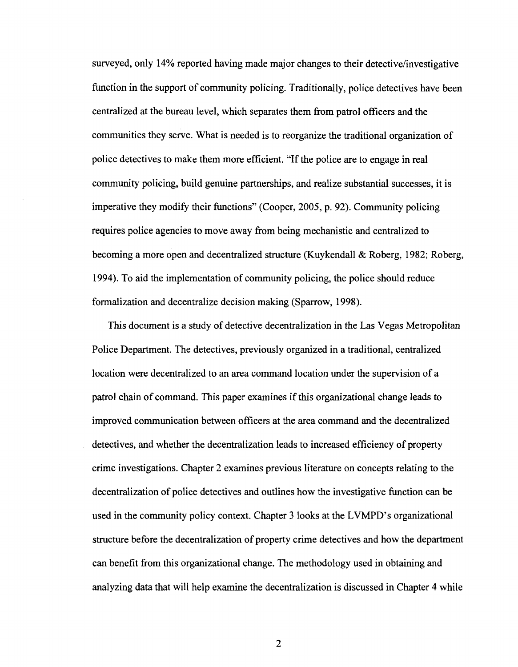surveyed, only 14% reported having made major changes to their detective/investigative function in the support of community policing. Traditionally, police detectives have been centralized at the bureau level, which separates them from patrol officers and the communities they serve. What is needed is to reorganize the traditional organization of police detectives to make them more efficient. "If the police are to engage in real community policing, build genuine partnerships, and realize substantial successes, it is imperative they modify their functions" (Cooper, 2005, p. 92). Community policing requires police agencies to move away from being mechanistic and centralized to becoming a more open and decentralized structure (Kuykendall & Roberg, 1982; Roberg, 1994). To aid the implementation of community policing, the police should reduce formalization and decentralize decision making (Sparrow, 1998).

This document is a study of detective decentralization in the Las Vegas Metropolitan Police Department. The detectives, previously organized in a traditional, centralized location were decentralized to an area command location under the supervision of a patrol chain of command. This paper examines if this organizational change leads to improved communication between officers at the area command and the decentralized detectives, and whether the decentralization leads to increased efficiency of property crime investigations. Chapter 2 examines previous literature on concepts relating to the decentralization of police detectives and outlines how the investigative function can be used in the community policy context. Chapter 3 looks at the LVMPD's organizational structure before the decentralization of property crime detectives and how the department can benefit from this organizational change. The methodology used in obtaining and analyzing data that will help examine the decentralization is discussed in Chapter 4 while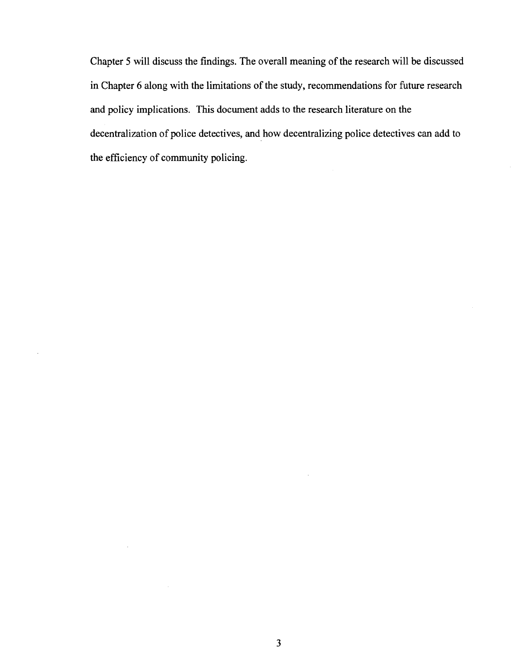Chapter 5 will discuss the findings. The overall meaning of the research will be discussed in Chapter 6 along with the limitations of the study, recommendations for future research and policy implications. This document adds to the research literature on the decentralization of police detectives, and how decentralizing police detectives can add to the efficiency of community policing.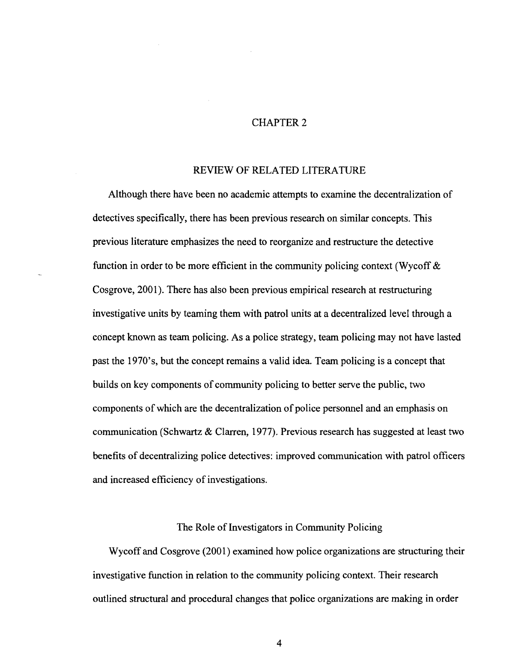# CHAPTER 2

# REVIEW OF RELATED LITERATURE

Although there have been no academic attempts to examine the decentralization of detectives specifically, there has been previous research on similar concepts. This previous literature emphasizes the need to reorganize and restructure the detective function in order to be more efficient in the community policing context (Wycoff  $\&$ Cosgrove, 2001). There has also been previous empirical research at restructuring investigative units by teaming them with patrol units at a decentralized level through a concept known as team policing. As a police strategy, team policing may not have lasted past the 1970's, but the concept remains a valid idea. Team policing is a concept that builds on key components of community policing to better serve the public, two components of which are the decentralization of police personnel and an emphasis on communication (Schwartz & Clarren, 1977). Previous research has suggested at least two benefits of decentralizing police detectives: improved communication with patrol officers and increased efficiency of investigations.

## The Role of Investigators in Community Policing

Wycoff and Cosgrove (2001) examined how police organizations are structuring their investigative function in relation to the community policing context. Their research outlined structural and procedural changes that police organizations are making in order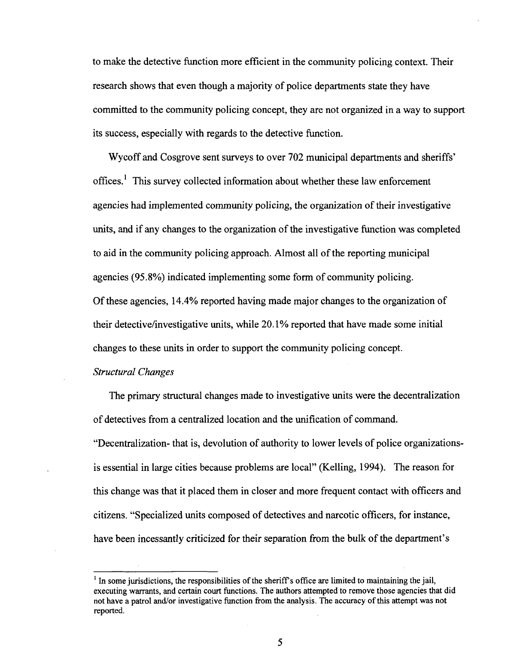to make the detective function more efficient in the community policing context. Their research shows that even though a majority of police departments state they have committed to the community policing concept, they are not organized in a way to support its success, especially with regards to the detective function.

Wycoff and Cosgrove sent surveys to over 702 municipal departments and sheriffs' offices.<sup>1</sup> This survey collected information about whether these law enforcement agencies had implemented community policing, the organization of their investigative units, and if any changes to the organization of the investigative function was completed to aid in the community policing approach. Almost all of the reporting municipal agencies (95.8%) indicated implementing some form of community policing. Of these agencies, 14.4% reported having made major changes to the organization of their detective/investigative units, while 20.1% reported that have made some initial changes to these units in order to support the community policing concept.

# *Structural Changes*

The primary structural changes made to investigative units were the decentralization of detectives from a centralized location and the unification of command. "Decentralization- that is, devolution of authority to lower levels of police organizationsis essential in large cities because problems are local" (Kelling, 1994). The reason for this change was that it placed them in closer and more frequent contact with officers and citizens. "Specialized units composed of detectives and narcotic officers, for instance, have been incessantly criticized for their separation from the bulk of the department's

 $<sup>1</sup>$  In some jurisdictions, the responsibilities of the sheriff's office are limited to maintaining the jail,</sup> executing warrants, and certain court functions. The authors attempted to remove those agencies that did not have a patrol and/or investigative function from the analysis. The accuracy of this attempt was not reported.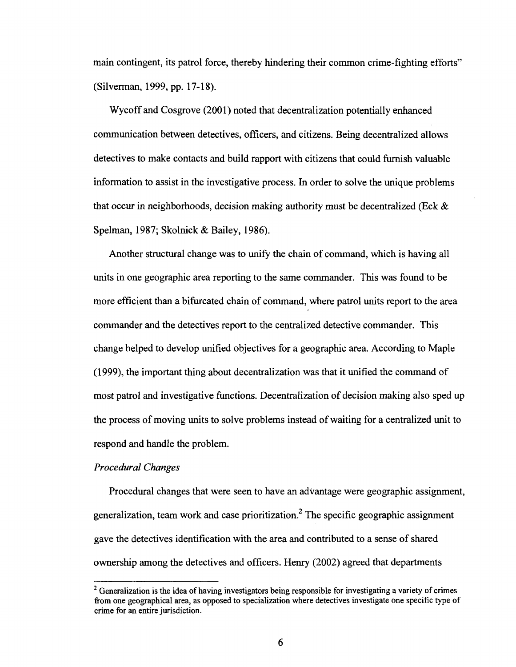main contingent, its patrol force, thereby hindering their common crime-fighting efforts" (Silverman, 1999, pp. 17-18).

Wycoff and Cosgrove (2001) noted that decentralization potentially enhanced communication between detectives, officers, and citizens. Being decentralized allows detectives to make contacts and build rapport with citizens that could furnish valuable information to assist in the investigative process. In order to solve the unique problems that occur in neighborhoods, decision making authority must be decentralized (Eck  $\&$ Spelman, 1987; Skolnick & Bailey, 1986).

Another structural change was to unify the chain of command, which is having all units in one geographic area reporting to the same commander. This was found to be more efficient than a bifurcated chain of command, where patrol units report to the area commander and the detectives report to the centralized detective commander. This change helped to develop unified objectives for a geographic area. According to Maple (1999), the important thing about decentralization was that it unified the command of most patrol and investigative functions. Decentralization of decision making also sped up the process of moving units to solve problems instead of waiting for a centralized unit to respond and handle the problem.

# *Procedural Changes*

Procedural changes that were seen to have an advantage were geographic assignment, generalization, team work and case prioritization.<sup>2</sup> The specific geographic assignment gave the detectives identification with the area and contributed to a sense of shared ownership among the detectives and officers. Henry (2002) agreed that departments

<sup>&</sup>lt;sup>2</sup> Generalization is the idea of having investigators being responsible for investigating a variety of crimes from one geographical area, as opposed to specialization where detectives investigate one specific type of crime for an entire jurisdiction.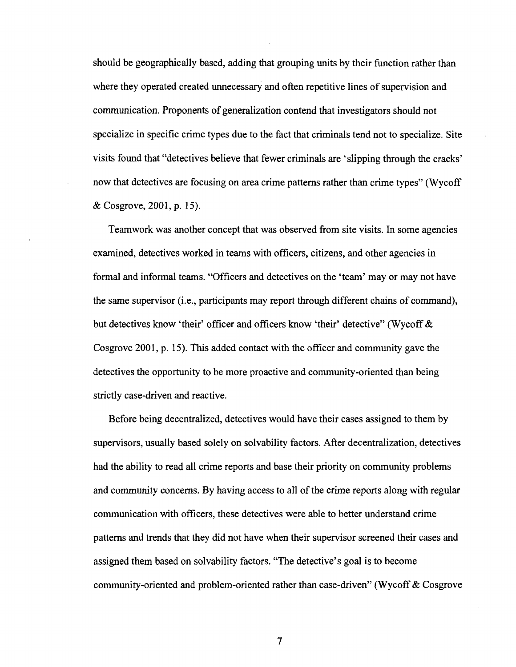should be geographically based, adding that grouping units by their function rather than where they operated created unnecessary and often repetitive lines of supervision and communication. Proponents of generalization contend that investigators should not specialize in specific crime types due to the fact that criminals tend not to specialize. Site visits found that "detectives believe that fewer criminals are 'slipping through the cracks' now that detectives are focusing on area crime patterns rather than crime types" (Wycoff & Cosgrove, 2001, p. 15).

Teamwork was another concept that was observed from site visits. In some agencies examined, detectives worked in teams with officers, citizens, and other agencies in formal and informal teams. "Officers and detectives on the 'team' may or may not have the same supervisor (i.e., participants may report through different chains of command), but detectives know 'their' officer and officers know 'their' detective" (Wycoff & Cosgrove 2001, p. 15). This added contact with the officer and community gave the detectives the opportunity to be more proactive and community-oriented than being strictly case-driven and reactive.

Before being decentralized, detectives would have their cases assigned to them by supervisors, usually based solely on solvability factors. After decentralization, detectives had the ability to read all crime reports and base their priority on community problems and community concerns. By having access to all of the crime reports along with regular communication with officers, these detectives were able to better understand crime patterns and trends that they did not have when their supervisor screened their cases and assigned them based on solvability factors. "The detective's goal is to become community-oriented and problem-oriented rather than case-driven" (Wycoff & Cosgrove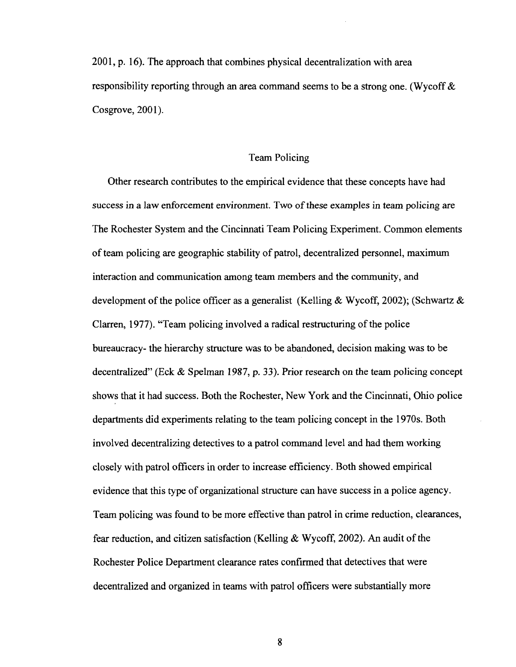2001, p. 16). The approach that combines physical decentralization with area responsibility reporting through an area command seems to be a strong one. (Wycoff & Cosgrove, 2001).

#### Team Policing

Other research contributes to the empirical evidence that these concepts have had success in a law enforcement environment. Two of these examples in team policing are The Rochester System and the Cincinnati Team Policing Experiment. Common elements of team policing are geographic stability of patrol, decentralized personnel, maximum interaction and communication among team members and the community, and development of the police officer as a generalist (Kelling & Wycoff, 2002); (Schwartz & Clarren, 1977). "Team policing involved a radical restructuring of the police bureaucracy- the hierarchy structure was to be abandoned, decision making was to be decentralized" (Eck & Spelman 1987, p. 33). Prior research on the team policing concept shows that it had success. Both the Rochester, New York and the Cincinnati, Ohio police departments did experiments relating to the team policing concept in the 1970s. Both involved decentralizing detectives to a patrol command level and had them working closely with patrol officers in order to increase efficiency. Both showed empirical evidence that this type of organizational structure can have success in a police agency. Team policing was found to be more effective than patrol in crime reduction, clearances, fear reduction, and citizen satisfaction (Kelling & Wycoff, 2002). An audit of the Rochester Police Department clearance rates confirmed that detectives that were decentralized and organized in teams with patrol officers were substantially more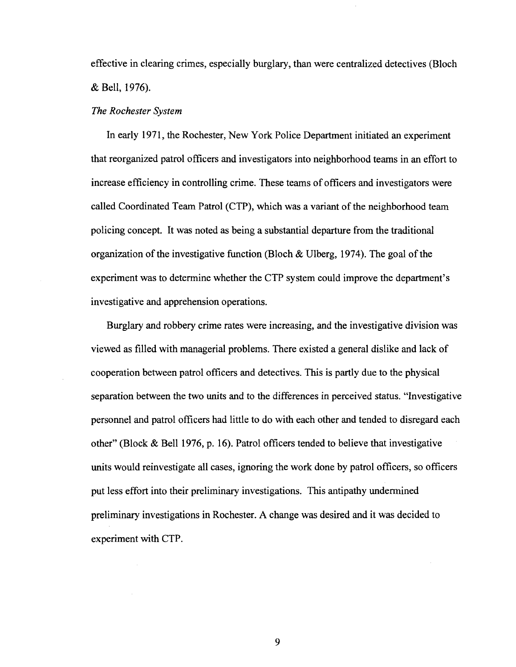effective in clearing crimes, especially burglary, than were centralized detectives (Bloch & Bell, 1976).

#### *The Rochester System*

In early 1971, the Rochester, New York Police Department initiated an experiment that reorganized patrol officers and investigators into neighborhood teams in an effort to increase efficiency in controlling crime. These teams of officers and investigators were called Coordinated Team Patrol (CTP), which was a variant of the neighborhood team policing concept. It was noted as being a substantial departure from the traditional organization of the investigative function (Bloch  $&$  Ulberg, 1974). The goal of the experiment was to determine whether the CTP system could improve the department's investigative and apprehension operations.

Burglary and robbery crime rates were increasing, and the investigative division was viewed as filled with managerial problems. There existed a general dislike and lack of cooperation between patrol officers and detectives. This is partly due to the physical separation between the two units and to the differences in perceived status. "Investigative personnel and patrol officers had little to do with each other and tended to disregard each other" (Block & Bell 1976, p. 16). Patrol officers tended to believe that investigative units would reinvestigate all cases, ignoring the work done by patrol officers, so officers put less effort into their preliminary investigations. This antipathy undermined preliminary investigations in Rochester. A change was desired and it was decided to experiment with CTP.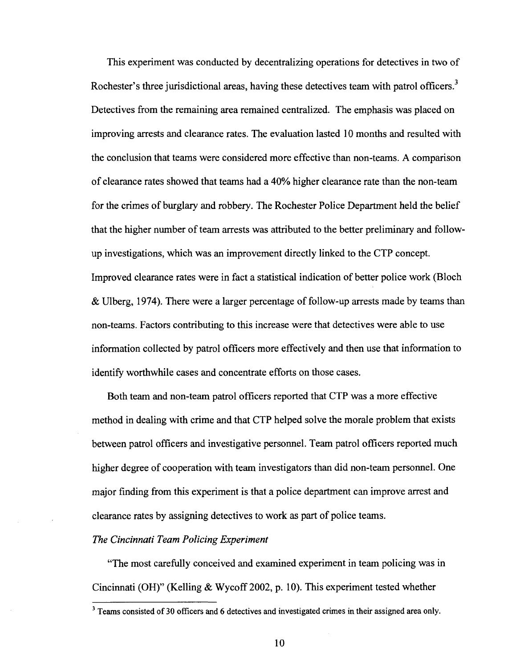This experiment was conducted by decentralizing operations for detectives in two of Rochester's three jurisdictional areas, having these detectives team with patrol officers.<sup>3</sup> Detectives from the remaining area remained centralized. The emphasis was placed on improving arrests and clearance rates. The evaluation lasted 10 months and resulted with the conclusion that teams were considered more effective than non-teams. A comparison of clearance rates showed that teams had a 40% higher clearance rate than the non-team for the crimes of burglary and robbery. The Rochester Police Department held the belief that the higher number of team arrests was attributed to the better preliminary and followup investigations, which was an improvement directly linked to the CTP concept. Improved clearance rates were in fact a statistical indication of better police work (Bloch & Ulberg, 1974). There were a larger percentage of follow-up arrests made by teams than non-teams. Factors contributing to this increase were that detectives were able to use information collected by patrol officers more effectively and then use that information to identify worthwhile cases and concentrate efforts on those cases.

Both team and non-team patrol officers reported that CTP was a more effective method in dealing with crime and that CTP helped solve the morale problem that exists between patrol officers and investigative personnel. Team patrol officers reported much higher degree of cooperation with team investigators than did non-team personnel. One major finding from this experiment is that a police department can improve arrest and clearance rates by assigning detectives to work as part of police teams.

# *The Cincinnati Team Policing Experiment*

"The most carefully conceived and examined experiment in team policing was in Cincinnati (OH)" (Kelling & Wycoff 2002, p. 10). This experiment tested whether

<sup>&</sup>lt;sup>3</sup> Teams consisted of 30 officers and 6 detectives and investigated crimes in their assigned area only.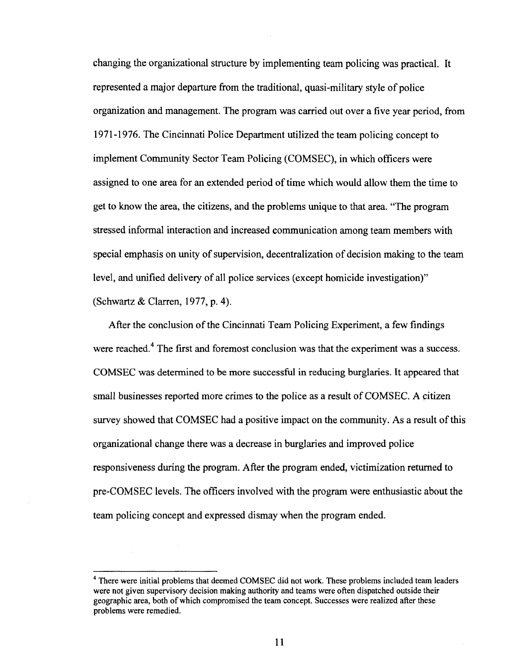changing the organizational structure by implementing team policing was practical. It represented a major departure from the traditional, quasi-military style of police organization and management. The program was carried out over a five year period, from 1971-1976. The Cincinnati Police Department utilized the team policing concept to implement Community Sector Team Policing (COMSEC), in which officers were assigned to one area for an extended period of time which would allow them the time to get to know the area, the citizens, and the problems unique to that area. "The program stressed informal interaction and increased communication among team members with special emphasis on unity of supervision, decentralization of decision making to the team level, and unified delivery of all police services (except homicide investigation)" (Schwartz & Clarren, 1977, p. 4).

After the conclusion of the Cincinnati Team Policing Experiment, a few findings were reached.<sup>4</sup> The first and foremost conclusion was that the experiment was a success. COMSEC was determined to be more successful in reducing burglaries. It appeared that small businesses reported more crimes to the police as a result of COMSEC. A citizen survey showed that COMSEC had a positive impact on the community. As a result of this organizational change there was a decrease in burglaries and improved police responsiveness during the program. After the program ended, victimization returned to pre-COMSEC levels. The officers involved with the program were enthusiastic about the team policing concept and expressed dismay when the program ended.

<sup>&</sup>lt;sup>4</sup> There were initial problems that deemed COMSEC did not work. These problems included team leaders were not given supervisory decision making authority and teams were often dispatched outside their geographic area, both of which compromised the team concept. Successes were realized after these problems were remedied.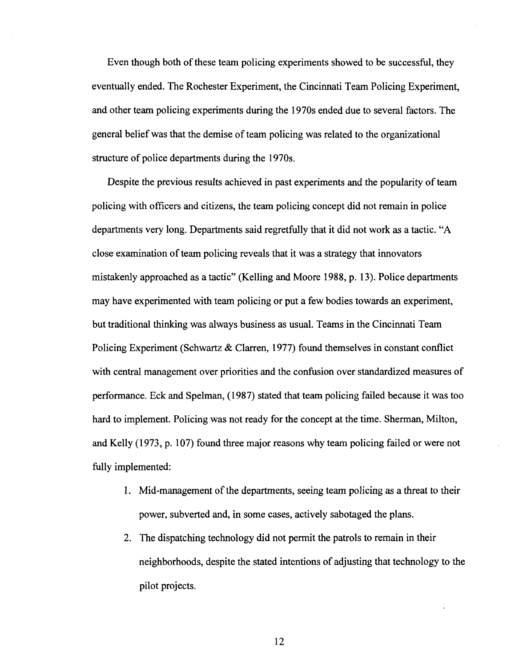Even though both of these team policing experiments showed to be successful, they eventually ended. The Rochester Experiment, the Cincinnati Team Policing Experiment, and other team policing experiments during the 1970s ended due to several factors. The general belief was that the demise of team policing was related to the organizational structure of police departments during the 1970s.

Despite the previous results achieved in past experiments and the popularity of team policing with officers and citizens, the team policing concept did not remain in police departments very long. Departments said regretfully that it did not work as a tactic. "A close examination of team policing reveals that it was a strategy that innovators mistakenly approached as a tactic" (Kelling and Moore 1988, p. 13). Police departments may have experimented with team policing or put a few bodies towards an experiment, but traditional thinking was always business as usual. Teams in the Cincinnati Team Policing Experiment (Schwartz & Clarren, 1977) found themselves in constant conflict with central management over priorities and the confusion over standardized measures of performance. Eck and Spelman, (1987) stated that team policing failed because it was too hard to implement. Policing was not ready for the concept at the time. Sherman, Milton, and Kelly (1973, p. 107) found three major reasons why team policing failed or were not fully implemented:

- 1. Mid-management of the departments, seeing team policing as a threat to their power, subverted and, in some cases, actively sabotaged the plans.
- 2. The dispatching technology did not permit the patrols to remain in their neighborhoods, despite the stated intentions of adjusting that technology to the pilot projects.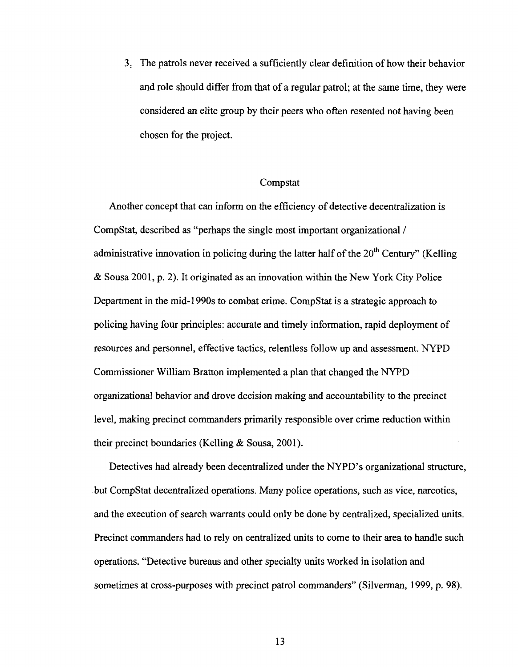3. The patrols never received a sufficiently clear definition of how their behavior and role should differ from that of a regular patrol; at the same time, they were considered an elite group by their peers who often resented not having been chosen for the project.

#### Compstat

Another concept that can inform on the efficiency of detective decentralization is CompStat, described as "perhaps the single most important organizational / administrative innovation in policing during the latter half of the 20<sup>th</sup> Century" (Kelling & Sousa 2001, p. 2). It originated as an innovation within the New York City Police Department in the mid-1990s to combat crime. CompStat is a strategic approach to policing having four principles: accurate and timely information, rapid deployment of resources and personnel, effective tactics, relentless follow up and assessment. NYPD Commissioner William Bratton implemented a plan that changed the NYPD organizational behavior and drove decision making and accountability to the precinct level, making precinct commanders primarily responsible over crime reduction within their precinct boundaries (Kelling & Sousa, 2001).

Detectives had already been decentralized under the NYPD's organizational structure, but CompStat decentralized operations. Many police operations, such as vice, narcotics, and the execution of search warrants could only be done by centralized, specialized units. Precinct commanders had to rely on centralized units to come to their area to handle such operations. "Detective bureaus and other specialty units worked in isolation and sometimes at cross-purposes with precinct patrol commanders" (Silverman, 1999, p. 98).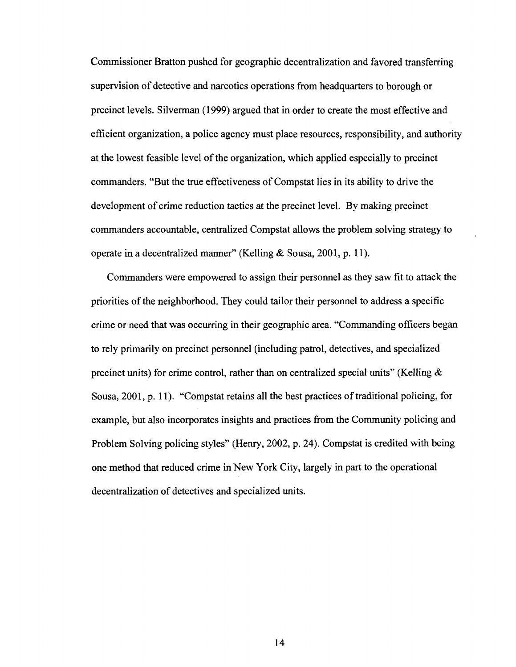Commissioner Bratton pushed for geographic decentralization and favored transferring supervision of detective and narcotics operations from headquarters to borough or precinct levels. Silverman (1999) argued that in order to create the most effective and efficient organization, a police agency must place resources, responsibility, and authority at the lowest feasible level of the organization, which applied especially to precinct commanders. "But the true effectiveness of Compstat lies in its ability to drive the development of crime reduction tactics at the precinct level. By making precinct commanders accountable, centralized Compstat allows the problem solving strategy to operate in a decentralized manner" (Kelling & Sousa, 2001, p. 11).

Commanders were empowered to assign their personnel as they saw fit to attack the priorities of the neighborhood. They could tailor their personnel to address a specific crime or need that was occurring in their geographic area. "Commanding officers began to rely primarily on precinct personnel (including patrol, detectives, and specialized precinct units) for crime control, rather than on centralized special units" (Kelling  $\&$ Sousa, 2001, p. 11). "Compstat retains all the best practices of traditional policing, for example, but also incorporates insights and practices from the Community policing and Problem Solving policing styles" (Henry, 2002, p. 24). Compstat is credited with being one method that reduced crime in New York City, largely in part to the operational decentralization of detectives and specialized units.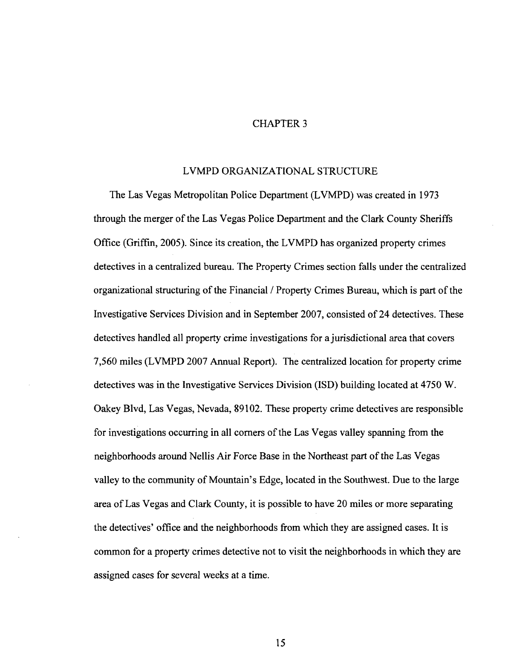### CHAPTER 3

#### LVMPD ORGANIZATIONAL STRUCTURE

The Las Vegas Metropolitan Police Department (LVMPD) was created in 1973 through the merger of the Las Vegas Police Department and the Clark County Sheriffs Office (Griffin, 2005). Since its creation, the LVMPD has organized property crimes detectives in a centralized bureau. The Property Crimes section falls under the centralized organizational structuring of the Financial / Property Crimes Bureau, which is part of the Investigative Services Division and in September 2007, consisted of 24 detectives. These detectives handled all property crime investigations for a jurisdictional area that covers 7,560 miles (LVMPD 2007 Annual Report). The centralized location for property crime detectives was in the Investigative Services Division (ISD) building located at 4750 W. Oakey Blvd, Las Vegas, Nevada, 89102. These property crime detectives are responsible for investigations occurring in all corners of the Las Vegas valley spanning from the neighborhoods around Nellis Air Force Base in the Northeast part of the Las Vegas valley to the community of Mountain's Edge, located in the Southwest. Due to the large area of Las Vegas and Clark County, it is possible to have 20 miles or more separating the detectives' office and the neighborhoods from which they are assigned cases. It is common for a property crimes detective not to visit the neighborhoods in which they are assigned cases for several weeks at a time.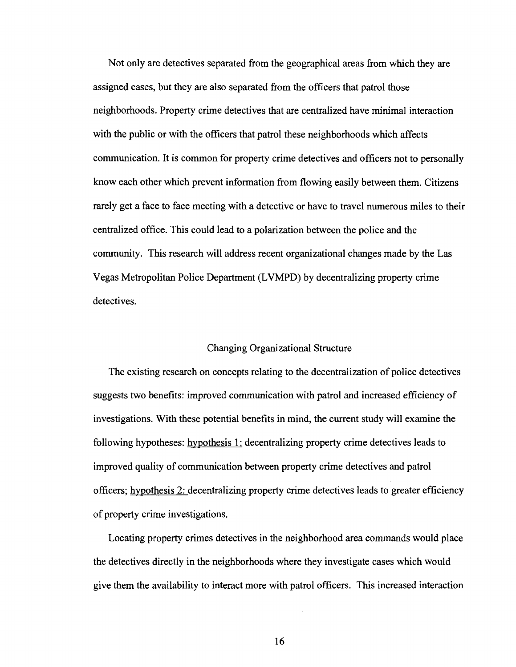Not only are detectives separated from the geographical areas from which they are assigned cases, but they are also separated from the officers that patrol those neighborhoods. Property crime detectives that are centralized have minimal interaction with the public or with the officers that patrol these neighborhoods which affects communication. It is common for property crime detectives and officers not to personally know each other which prevent information from flowing easily between them. Citizens rarely get a face to face meeting with a detective or have to travel numerous miles to their centralized office. This could lead to a polarization between the police and the community. This research will address recent organizational changes made by the Las Vegas Metropolitan Police Department (LVMPD) by decentralizing property crime detectives.

# Changing Organizational Structure

The existing research on concepts relating to the decentralization of police detectives suggests two benefits: improved communication with patrol and increased efficiency of investigations. With these potential benefits in mind, the current study will examine the following hypotheses: hypothesis 1: decentralizing property crime detectives leads to improved quality of communication between property crime detectives and patrol officers; hypothesis 2: decentralizing property crime detectives leads to greater efficiency of property crime investigations.

Locating property crimes detectives in the neighborhood area commands would place the detectives directly in the neighborhoods where they investigate cases which would give them the availability to interact more with patrol officers. This increased interaction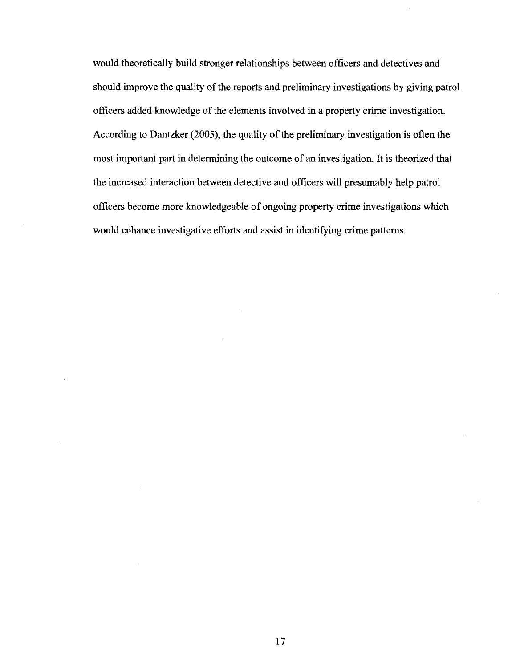would theoretically build stronger relationships between officers and detectives and should improve the quality of the reports and preliminary investigations by giving patrol officers added knowledge of the elements involved in a property crime investigation. According to Dantzker (2005), the quality of the preliminary investigation is often the most important part in determining the outcome of an investigation. It is theorized that the increased interaction between detective and officers will presumably help patrol officers become more knowledgeable of ongoing property crime investigations which would enhance investigative efforts and assist in identifying crime patterns.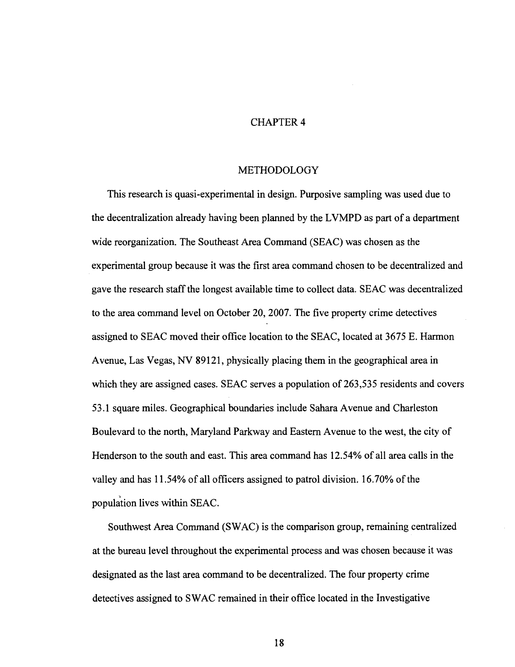# CHAPTER 4

# METHODOLOGY

This research is quasi-experimental in design. Purposive sampling was used due to the decentralization already having been planned by the LVMPD as part of a department wide reorganization. The Southeast Area Command (SEAC) was chosen as the experimental group because it was the first area command chosen to be decentralized and gave the research staff the longest available time to collect data. SEAC was decentralized to the area command level on October 20, 2007. The five property crime detectives assigned to SEAC moved their office location to the SEAC, located at 3675 E. Harmon Avenue, Las Vegas, NV 89121, physically placing them in the geographical area in which they are assigned cases. SEAC serves a population of 263,535 residents and covers 53.1 square miles. Geographical boundaries include Sahara Avenue and Charleston Boulevard to the north, Maryland Parkway and Eastern Avenue to the west, the city of Henderson to the south and east. This area command has 12.54% of all area calls in the valley and has 11.54% of all officers assigned to patrol division. 16.70% of the population lives within SEAC.

Southwest Area Command (SWAC) is the comparison group, remaining centralized at the bureau level throughout the experimental process and was chosen because it was designated as the last area command to be decentralized. The four property crime detectives assigned to SWAC remained in their office located in the Investigative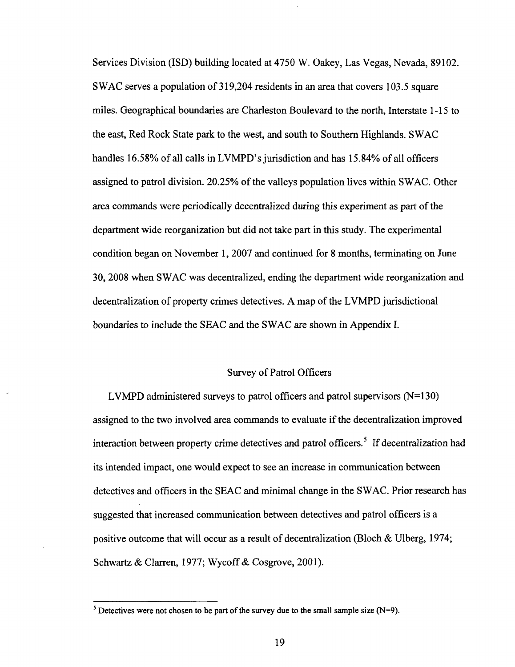Services Division (ISD) building located at 4750 W. Oakey, Las Vegas, Nevada, 89102. SWAC serves a population of 319,204 residents in an area that covers 103.5 square miles. Geographical boundaries are Charleston Boulevard to the north, Interstate 1-15 to the east, Red Rock State park to the west, and south to Southern Highlands. SWAC handles 16.58% of all calls in LVMPD's jurisdiction and has 15.84% of all officers assigned to patrol division. 20.25% of the valleys population lives within SWAC. Other area commands were periodically decentralized during this experiment as part of the department wide reorganization but did not take part in this study. The experimental condition began on November 1, 2007 and continued for 8 months, terminating on June 30, 2008 when SWAC was decentralized, ending the department wide reorganization and decentralization of property crimes detectives. A map of the LVMPD jurisdictional boundaries to include the SEAC and the SWAC are shown in Appendix I.

## Survey of Patrol Officers

LVMPD administered surveys to patrol officers and patrol supervisors  $(N=130)$ assigned to the two involved area commands to evaluate if the decentralization improved interaction between property crime detectives and patrol officers.<sup>5</sup> If decentralization had its intended impact, one would expect to see an increase in communication between detectives and officers in the SEAC and minimal change in the SWAC. Prior research has suggested that increased communication between detectives and patrol officers is a positive outcome that will occur as a result of decentralization (Bloch & Ulberg, 1974; Schwartz & Clarren, 1977; Wycoff & Cosgrove, 2001).

<sup>&</sup>lt;sup>5</sup> Detectives were not chosen to be part of the survey due to the small sample size (N=9).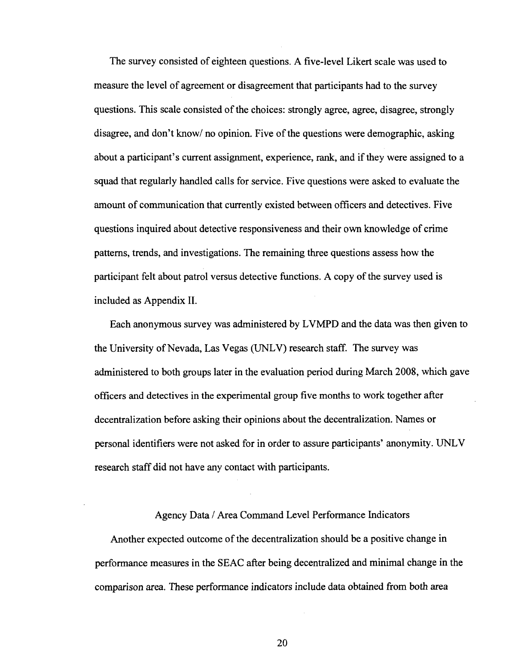The survey consisted of eighteen questions. A five-level Likert scale was used to measure the level of agreement or disagreement that participants had to the survey questions. This scale consisted of the choices: strongly agree, agree, disagree, strongly disagree, and don't know/ no opinion. Five of the questions were demographic, asking about a participant's current assignment, experience, rank, and if they were assigned to a squad that regularly handled calls for service. Five questions were asked to evaluate the amount of communication that currently existed between officers and detectives. Five questions inquired about detective responsiveness and their own knowledge of crime patterns, trends, and investigations. The remaining three questions assess how the participant felt about patrol versus detective functions. A copy of the survey used is included as Appendix II.

Each anonymous survey was administered by LVMPD and the data was then given to the University of Nevada, Las Vegas (UNLV) research staff. The survey was administered to both groups later in the evaluation period during March 2008, which gave officers and detectives in the experimental group five months to work together after decentralization before asking their opinions about the decentralization. Names or personal identifiers were not asked for in order to assure participants' anonymity. UNLV research staff did not have any contact with participants.

#### Agency Data / Area Command Level Performance Indicators

Another expected outcome of the decentralization should be a positive change in performance measures in the SEAC after being decentralized and minimal change in the comparison area. These performance indicators include data obtained from both area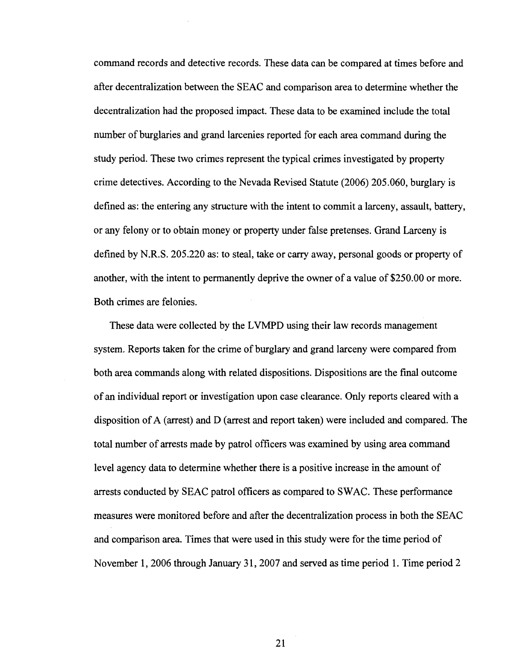command records and detective records. These data can be compared at times before and after decentralization between the SEAC and comparison area to determine whether the decentralization had the proposed impact. These data to be examined include the total number of burglaries and grand larcenies reported for each area command during the study period. These two crimes represent the typical crimes investigated by property crime detectives. According to the Nevada Revised Statute (2006) 205.060, burglary is defined as: the entering any structure with the intent to commit a larceny, assault, battery, or any felony or to obtain money or property under false pretenses. Grand Larceny is defined by N.R.S. 205.220 as: to steal, take or carry away, personal goods or property of another, with the intent to permanently deprive the owner of a value of \$250.00 or more. Both crimes are felonies.

These data were collected by the LVMPD using their law records management system. Reports taken for the crime of burglary and grand larceny were compared from both area commands along with related dispositions. Dispositions are the final outcome of an individual report or investigation upon case clearance. Only reports cleared with a disposition of A (arrest) and D (arrest and report taken) were included and compared. The total number of arrests made by patrol officers was examined by using area command level agency data to determine whether there is a positive increase in the amount of arrests conducted by SEAC patrol officers as compared to SWAC. These performance measures were monitored before and after the decentralization process in both the SEAC and comparison area. Times that were used in this study were for the time period of November 1, 2006 through January 31, 2007 and served as time period 1. Time period 2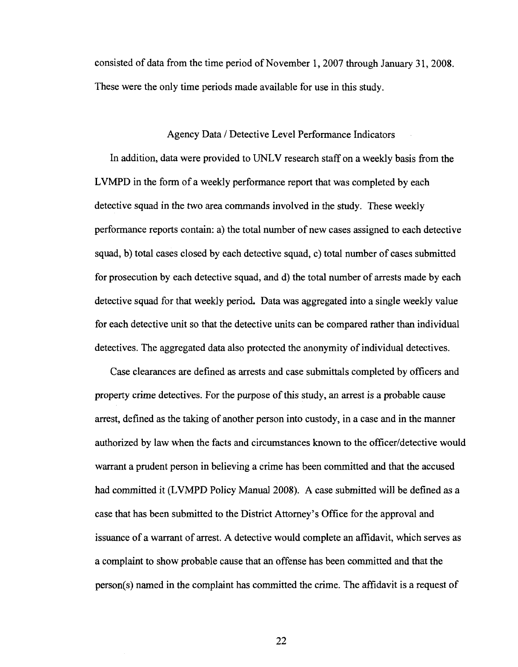consisted of data from the time period of November 1,2007 through January 31, 2008. These were the only time periods made available for use in this study.

#### Agency Data / Detective Level Performance Indicators

In addition, data were provided to UNLV research staff on a weekly basis from the LVMPD in the form of a weekly performance report that was completed by each detective squad in the two area commands involved in the study. These weekly performance reports contain: a) the total number of new cases assigned to each detective squad, b) total cases closed by each detective squad, c) total number of cases submitted for prosecution by each detective squad, and d) the total number of arrests made by each detective squad for that weekly period. Data was aggregated into a single weekly value for each detective unit so that the detective units can be compared rather than individual detectives. The aggregated data also protected the anonymity of individual detectives.

Case clearances are defined as arrests and case submittals completed by officers and property crime detectives. For the purpose of this study, an arrest is a probable cause arrest, defined as the taking of another person into custody, in a case and in the manner authorized by law when the facts and circumstances known to the officer/detective would warrant a prudent person in believing a crime has been committed and that the accused had committed it (LVMPD Policy Manual 2008). A case submitted will be defined as a case that has been submitted to the District Attorney's Office for the approval and issuance of a warrant of arrest. A detective would complete an affidavit, which serves as a complaint to show probable cause that an offense has been committed and that the person(s) named in the complaint has committed the crime. The affidavit is a request of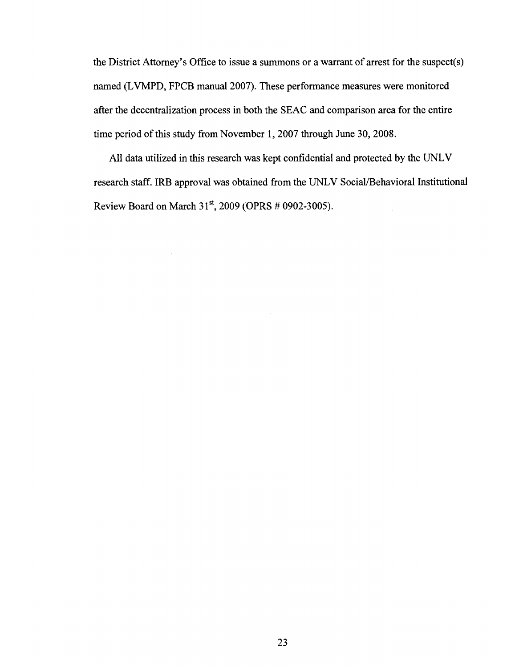the District Attorney's Office to issue a summons or a warrant of arrest for the suspect(s) named (LVMPD, FPCB manual 2007). These performance measures were monitored after the decentralization process in both the SEAC and comparison area for the entire time period of this study from November 1, 2007 through June 30, 2008.

All data utilized in this research was kept confidential and protected by the UNLV research staff. IRB approval was obtained from the UNLV Social/Behavioral Institutional Review Board on March  $31^{st}$ , 2009 (OPRS # 0902-3005).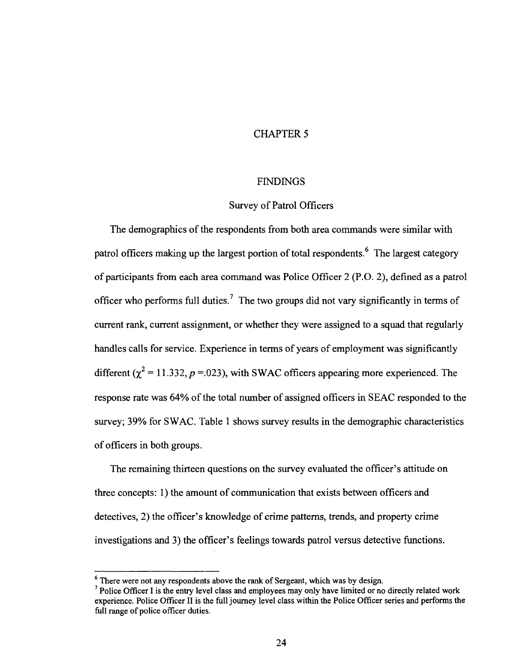# CHAPTER 5

### **FINDINGS**

### Survey of Patrol Officers

The demographics of the respondents from both area commands were similar with patrol officers making up the largest portion of total respondents.<sup>6</sup> The largest category of participants from each area command was Police Officer 2 (P.O. 2), defined as a patrol officer who performs full duties.<sup>7</sup> The two groups did not vary significantly in terms of current rank, current assignment, or whether they were assigned to a squad that regularly handles calls for service. Experience in terms of years of employment was significantly different  $\left(\chi^2 = 11.332, p = 0.023\right)$ , with SWAC officers appearing more experienced. The response rate was 64% of the total number of assigned officers in SEAC responded to the survey; 39% for SWAC. Table 1 shows survey results in the demographic characteristics of officers in both groups.

The remaining thirteen questions on the survey evaluated the officer's attitude on three concepts: 1) the amount of communication that exists between officers and detectives, 2) the officer's knowledge of crime patterns, trends, and property crime investigations and 3) the officer's feelings towards patrol versus detective functions.

 $<sup>6</sup>$  There were not any respondents above the rank of Sergeant, which was by design.</sup>

<sup>&</sup>lt;sup>7</sup> Police Officer I is the entry level class and employees may only have limited or no directly related work experience. Police Officer II is the full journey level class within the Police Officer series and performs the full range of police officer duties.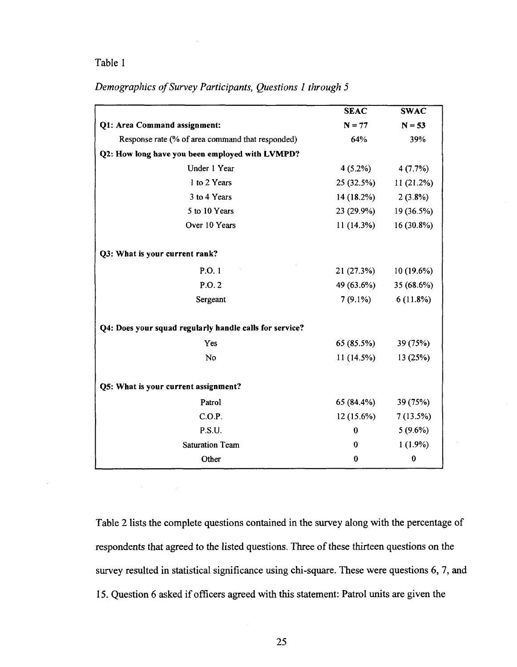# Table 1

# *Demographics of Survey Participants, Questions 1 through 5*

|                                                         | <b>SEAC</b> | <b>SWAC</b> |
|---------------------------------------------------------|-------------|-------------|
| Q1: Area Command assignment:                            | $N = 77$    | $N = 53$    |
| Response rate (% of area command that responded)        | 64%         | 39%         |
| Q2: How long have you been employed with LVMPD?         |             |             |
| Under 1 Year                                            | $4(5.2\%)$  | 4(7.7%)     |
| 1 to 2 Years                                            | 25 (32.5%)  | 11 (21.2%)  |
| 3 to 4 Years                                            | 14 (18.2%)  | 2(3.8%)     |
| 5 to 10 Years                                           | 23 (29.9%)  | 19 (36.5%)  |
| Over 10 Years                                           | 11 (14.3%)  | 16 (30.8%)  |
|                                                         |             |             |
| Q3: What is your current rank?                          |             |             |
| P.O.1                                                   | 21 (27.3%)  | 10 (19.6%)  |
| P.O.2                                                   | 49 (63.6%)  | 35 (68.6%)  |
| Sergeant                                                | $7(9.1\%)$  | 6(11.8%)    |
| Q4: Does your squad regularly handle calls for service? |             |             |
| Yes                                                     | 65 (85.5%)  | 39 (75%)    |
| No                                                      | 11 (14.5%)  | 13 (25%)    |
| Q5: What is your current assignment?                    |             |             |
| Patrol                                                  | 65 (84.4%)  | 39 (75%)    |
| C.O.P.                                                  | 12 (15.6%)  | 7(13.5%)    |
| P.S.U.                                                  | $\bf{0}$    | $5(9.6\%)$  |
| <b>Saturation Team</b>                                  | 0           | $1(1.9\%)$  |
| Other                                                   | 0           | $\bf{0}$    |

Table 2 lists the complete questions contained in the survey along with the percentage of respondents that agreed to the listed questions. Three of these thirteen questions on the survey resulted in statistical significance using chi-square. These were questions 6, 7, and 15. Question 6 asked if officers agreed with this statement: Patrol units are given the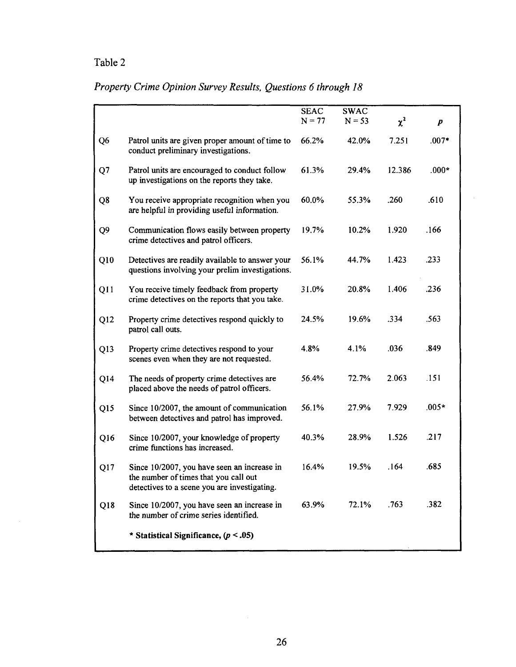# Table 2

# *Property Crime Opinion Survey Results, Questions 6 through 18*

|                 |                                                                                                                                      | <b>SEAC</b><br>$N = 77$ | <b>SWAC</b><br>$N = 53$ | $\chi^2$ | p       |
|-----------------|--------------------------------------------------------------------------------------------------------------------------------------|-------------------------|-------------------------|----------|---------|
| Q6              | Patrol units are given proper amount of time to<br>conduct preliminary investigations.                                               | 66.2%                   | 42.0%                   | 7.251    | $.007*$ |
| Q <sub>7</sub>  | Patrol units are encouraged to conduct follow<br>up investigations on the reports they take.                                         | 61.3%                   | 29.4%                   | 12.386   | .000*   |
| Q8              | You receive appropriate recognition when you<br>are helpful in providing useful information.                                         | 60.0%                   | 55.3%                   | .260     | .610    |
| Q9              | Communication flows easily between property<br>crime detectives and patrol officers.                                                 | 19.7%                   | $10.2\%$                | 1.920    | .166    |
| Q10             | Detectives are readily available to answer your<br>questions involving your prelim investigations.                                   | 56.1%                   | 44.7%                   | 1.423    | .233    |
| Q11             | You receive timely feedback from property<br>crime detectives on the reports that you take.                                          | 31.0%                   | 20.8%                   | 1.406    | .236    |
| Q12             | Property crime detectives respond quickly to<br>patrol call outs.                                                                    | 24.5%                   | 19.6%                   | .334     | .563    |
| Q13             | Property crime detectives respond to your<br>scenes even when they are not requested.                                                | 4.8%                    | 4.1%                    | .036     | .849    |
| Q14             | The needs of property crime detectives are<br>placed above the needs of patrol officers.                                             | 56.4%                   | 72.7%                   | 2.063    | .151    |
| Q15             | Since 10/2007, the amount of communication<br>between detectives and patrol has improved.                                            | 56.1%                   | 27.9%                   | 7.929    | $.005*$ |
| Q <sub>16</sub> | Since 10/2007, your knowledge of property<br>crime functions has increased.                                                          | 40.3%                   | 28.9%                   | 1.526    | .217    |
| Q17             | Since 10/2007, you have seen an increase in<br>the number of times that you call out<br>detectives to a scene you are investigating. | 16.4%                   | 19.5%                   | .164     | .685    |
| Q18             | Since 10/2007, you have seen an increase in<br>the number of crime series identified.                                                | 63.9%                   | 72.1%                   | .763     | .382    |
|                 | * Statistical Significance, $(p < .05)$                                                                                              |                         |                         |          |         |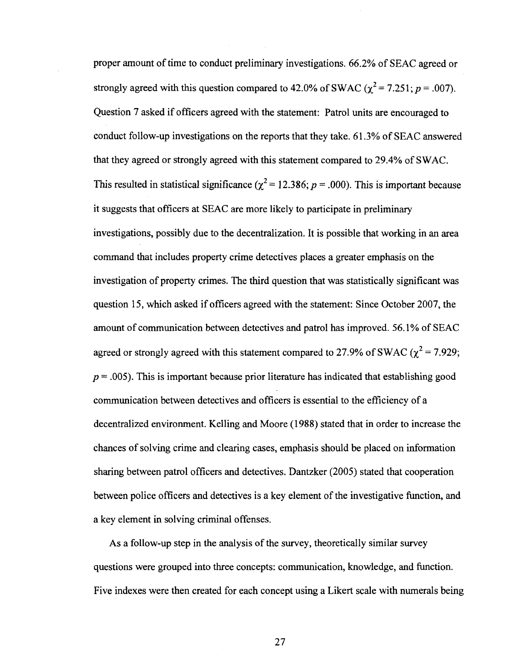proper amount of time to conduct preliminary investigations. 66.2% of SEAC agreed or strongly agreed with this question compared to 42.0% of SWAC  $(\chi^2 = 7.251; p = .007)$ . Question 7 asked if officers agreed with the statement: Patrol units are encouraged to conduct follow-up investigations on the reports that they take. 61.3% of SEAC answered that they agreed or strongly agreed with this statement compared to 29.4% of SWAC. This resulted in statistical significance ( $\chi^2$  = 12.386; *p* = .000). This is important because it suggests that officers at SEAC are more likely to participate in preliminary investigations, possibly due to the decentralization. It is possible that working in an area command that includes property crime detectives places a greater emphasis on the investigation of property crimes. The third question that was statistically significant was question 15, which asked if officers agreed with the statement: Since October 2007, the amount of communication between detectives and patrol has improved. 56.1% of SEAC agreed or strongly agreed with this statement compared to 27.9% of SWAC ( $\chi^2$  = 7.929;  $p = .005$ ). This is important because prior literature has indicated that establishing good communication between detectives and officers is essential to the efficiency of a decentralized environment. Kelling and Moore (1988) stated that in order to increase the chances of solving crime and clearing cases, emphasis should be placed on information sharing between patrol officers and detectives. Dantzker (2005) stated that cooperation between police officers and detectives is a key element of the investigative function, and a key element in solving criminal offenses.

As a follow-up step in the analysis of the survey, theoretically similar survey questions were grouped into three concepts: communication, knowledge, and function. Five indexes were then created for each concept using a Likert scale with numerals being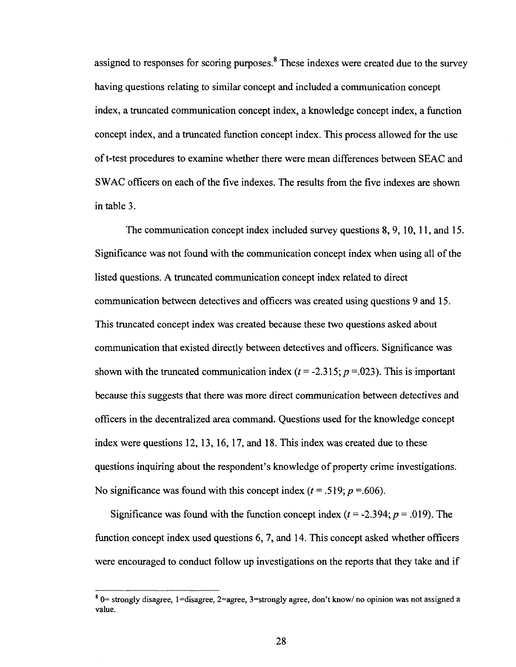assigned to responses for scoring purposes.<sup>8</sup> These indexes were created due to the survey having questions relating to similar concept and included a communication concept index, a truncated communication concept index, a knowledge concept index, a function concept index, and a truncated function concept index. This process allowed for the use oft-test procedures to examine whether there were mean differences between SEAC and SWAC officers on each of the five indexes. The results from the five indexes are shown in table 3.

The communication concept index included survey questions 8, 9,10,11, and 15. Significance was not found with the communication concept index when using all of the listed questions. A truncated communication concept index related to direct communication between detectives and officers was created using questions 9 and 15. This truncated concept index was created because these two questions asked about communication that existed directly between detectives and officers. Significance was shown with the truncated communication index  $(t = -2.315; p = 0.023)$ . This is important because this suggests that there was more direct communication between detectives and officers in the decentralized area command. Questions used for the knowledge concept index were questions 12, 13,16, 17, and 18. This index was created due to these questions inquiring about the respondent's knowledge of property crime investigations. No significance was found with this concept index  $(t = .519; p = .606)$ .

Significance was found with the function concept index  $(t = -2.394; p = .019)$ . The function concept index used questions 6, 7, and 14. This concept asked whether officers were encouraged to conduct follow up investigations on the reports that they take and if

 $8$  0= strongly disagree, 1=disagree, 2=agree, 3=strongly agree, don't know/no opinion was not assigned a value.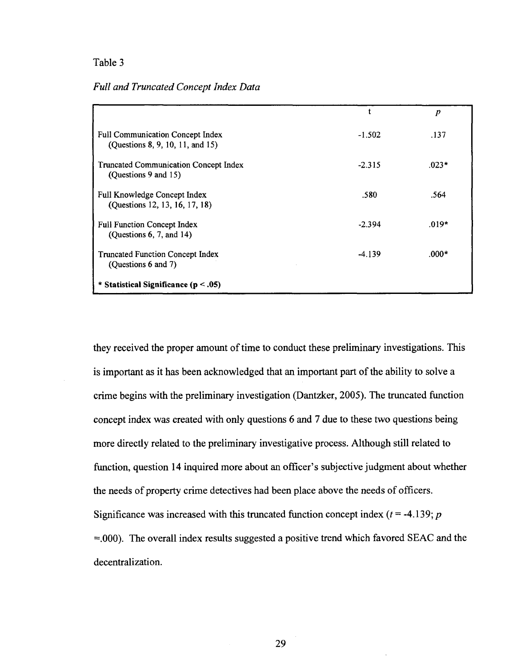# Table 3

*Full and Truncated Concept Index Data* 

|                                                                             |          | $\boldsymbol{p}$ |
|-----------------------------------------------------------------------------|----------|------------------|
| <b>Full Communication Concept Index</b><br>(Questions 8, 9, 10, 11, and 15) | $-1.502$ | .137             |
| Truncated Communication Concept Index<br>(Questions 9 and 15)               | $-2.315$ | $.023*$          |
| Full Knowledge Concept Index<br>(Questions 12, 13, 16, 17, 18)              | .580     | .564             |
| <b>Full Function Concept Index</b><br>(Questions $6, 7, and 14$ )           | $-2.394$ | $.019*$          |
| <b>Truncated Function Concept Index</b><br>(Questions 6 and 7)              | $-4.139$ | $.000*$          |
| * Statistical Significance ( $p < .05$ )                                    |          |                  |

they received the proper amount of time to conduct these preliminary investigations. This is important as it has been acknowledged that an important part of the ability to solve a crime begins with the preliminary investigation (Dantzker, 2005). The truncated function concept index was created with only questions 6 and 7 due to these two questions being more directly related to the preliminary investigative process. Although still related to function, question 14 inquired more about an officer's subjective judgment about whether the needs of property crime detectives had been place above the needs of officers. Significance was increased with this truncated function concept index  $(t = -4.139; p)$  $=0.000$ . The overall index results suggested a positive trend which favored SEAC and the decentralization.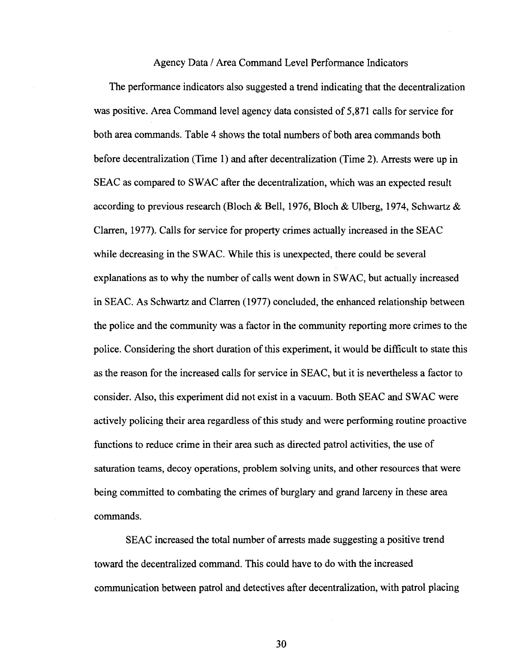#### Agency Data / Area Command Level Performance Indicators

The performance indicators also suggested a trend indicating that the decentralization was positive. Area Command level agency data consisted of 5,871 calls for service for both area commands. Table 4 shows the total numbers of both area commands both before decentralization (Time 1) and after decentralization (Time 2). Arrests were up in SEAC as compared to SWAC after the decentralization, which was an expected result according to previous research (Bloch & Bell, 1976, Bloch & Ulberg, 1974, Schwartz & Clarren, 1977). Calls for service for property crimes actually increased in the SEAC while decreasing in the SWAC. While this is unexpected, there could be several explanations as to why the number of calls went down in SWAC, but actually increased in SEAC. As Schwartz and Clarren (1977) concluded, the enhanced relationship between the police and the community was a factor in the community reporting more crimes to the police. Considering the short duration of this experiment, it would be difficult to state this as the reason for the increased calls for service in SEAC, but it is nevertheless a factor to consider. Also, this experiment did not exist in a vacuum. Both SEAC and SWAC were actively policing their area regardless of this study and were performing routine proactive functions to reduce crime in their area such as directed patrol activities, the use of saturation teams, decoy operations, problem solving units, and other resources that were being committed to combating the crimes of burglary and grand larceny in these area commands.

SEAC increased the total number of arrests made suggesting a positive trend toward the decentralized command. This could have to do with the increased communication between patrol and detectives after decentralization, with patrol placing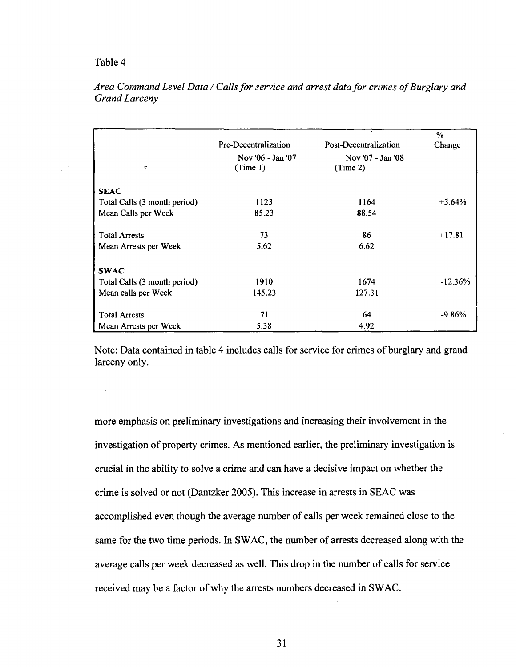## Table 4

| τ                            | Pre-Decentralization<br>Nov '06 - Jan '07<br>(Time 1) | Post-Decentralization<br>Nov '07 - Jan '08<br>(Time 2) | $\%$<br>Change |
|------------------------------|-------------------------------------------------------|--------------------------------------------------------|----------------|
| <b>SEAC</b>                  |                                                       |                                                        |                |
| Total Calls (3 month period) | 1123                                                  | 1164                                                   | $+3.64%$       |
| Mean Calls per Week          | 85.23                                                 | 88.54                                                  |                |
| <b>Total Arrests</b>         | 73                                                    | 86                                                     | $+17.81$       |
| Mean Arrests per Week        | 5.62                                                  | 6.62                                                   |                |
| <b>SWAC</b>                  |                                                       |                                                        |                |
| Total Calls (3 month period) | 1910                                                  | 1674                                                   | $-12.36%$      |
| Mean calls per Week          | 145.23                                                | 127.31                                                 |                |
| <b>Total Arrests</b>         | 71                                                    | 64                                                     | $-9.86%$       |
| Mean Arrests per Week        | 5.38                                                  | 4.92                                                   |                |

*Area Command Level Data / Calls for service and arrest data for crimes of Burglary and Grand Larceny* 

Note: Data contained in table 4 includes calls for service for crimes of burglary and grand larceny only.

more emphasis on preliminary investigations and increasing their involvement in the investigation of property crimes. As mentioned earlier, the preliminary investigation is crucial in the ability to solve a crime and can have a decisive impact on whether the crime is solved or not (Dantzker 2005). This increase in arrests in SEAC was accomplished even though the average number of calls per week remained close to the same for the two time periods. In SWAC, the number of arrests decreased along with the average calls per week decreased as well. This drop in the number of calls for service received may be a factor of why the arrests numbers decreased in SWAC.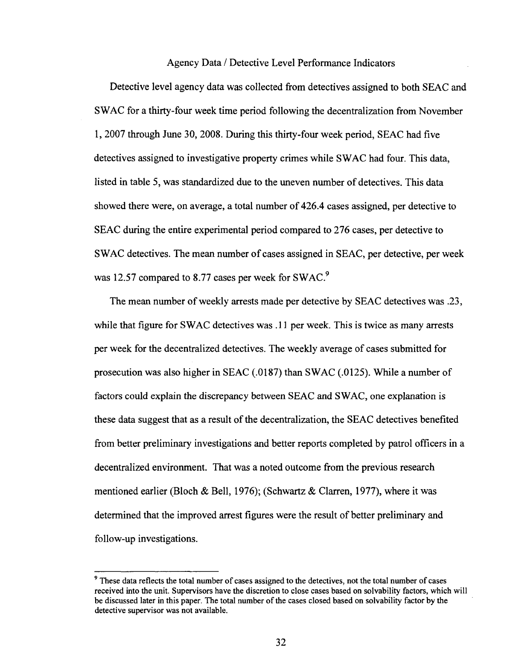#### Agency Data / Detective Level Performance Indicators

Detective level agency data was collected from detectives assigned to both SEAC and SWAC for a thirty-four week time period following the decentralization from November 1, 2007 through June 30, 2008. During this thirty-four week period, SEAC had five detectives assigned to investigative property crimes while SWAC had four. This data, listed in table 5, was standardized due to the uneven number of detectives. This data showed there were, on average, a total number of 426.4 cases assigned, per detective to SEAC during the entire experimental period compared to 276 cases, per detective to SWAC detectives. The mean number of cases assigned in SEAC, per detective, per week was 12.57 compared to 8.77 cases per week for SWAC.<sup>9</sup>

The mean number of weekly arrests made per detective by SEAC detectives was .23, while that figure for SWAC detectives was .11 per week. This is twice as many arrests per week for the decentralized detectives. The weekly average of cases submitted for prosecution was also higher in SEAC (.0187) than SWAC (.0125). While a number of factors could explain the discrepancy between SEAC and SWAC, one explanation is these data suggest that as a result of the decentralization, the SEAC detectives benefited from better preliminary investigations and better reports completed by patrol officers in a decentralized environment. That was a noted outcome from the previous research mentioned earlier (Bloch & Bell, 1976); (Schwartz & Clarren, 1977), where it was determined that the improved arrest figures were the result of better preliminary and follow-up investigations.

<sup>&</sup>lt;sup>9</sup> These data reflects the total number of cases assigned to the detectives, not the total number of cases received into the unit. Supervisors have the discretion to close cases based on solvability factors, which will be discussed later in this paper. The total number of the cases closed based on solvability factor by the detective supervisor was not available.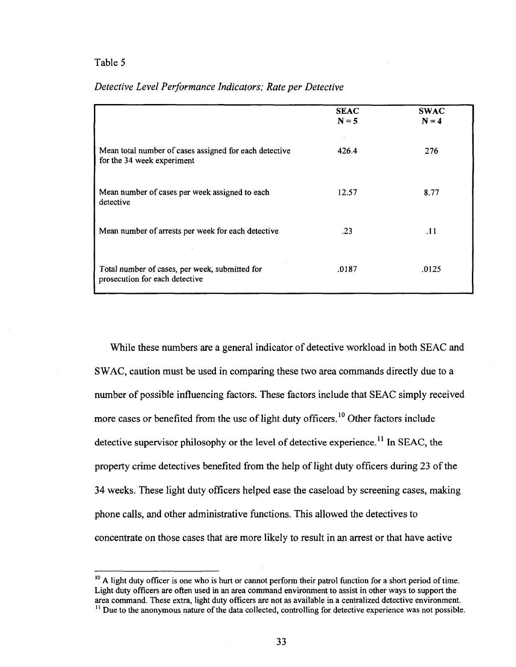### Table 5

|                                                                                      | <b>SEAC</b><br>$N = 5$ | <b>SWAC</b><br>$N = 4$ |
|--------------------------------------------------------------------------------------|------------------------|------------------------|
| Mean total number of cases assigned for each detective<br>for the 34 week experiment | 426.4                  | 276                    |
| Mean number of cases per week assigned to each<br>detective                          | 12.57                  | 8.77                   |
| Mean number of arrests per week for each detective                                   | .23                    | .11                    |
| Total number of cases, per week, submitted for<br>prosecution for each detective     | .0187                  | .0125                  |

# *Detective Level Performance Indicators; Rate per Detective*

While these numbers are a general indicator of detective workload in both SEAC and SWAC, caution must be used in comparing these two area commands directly due to a number of possible influencing factors. These factors include that SEAC simply received more cases or benefited from the use of light duty officers.<sup>10</sup> Other factors include detective supervisor philosophy or the level of detective experience.<sup>11</sup> In SEAC, the property crime detectives benefited from the help of light duty officers during 23 of the 34 weeks. These light duty officers helped ease the caseload by screening cases, making phone calls, and other administrative functions. This allowed the detectives to concentrate on those cases that are more likely to result in an arrest or that have active

<sup>&</sup>lt;sup>10</sup> A light duty officer is one who is hurt or cannot perform their patrol function for a short period of time. Light duty officers are often used in an area command environment to assist in other ways to support the area command. These extra, light duty officers are not as available in a centralized detective environment. <sup>11</sup> Due to the anonymous nature of the data collected, controlling for detective experience was not possible.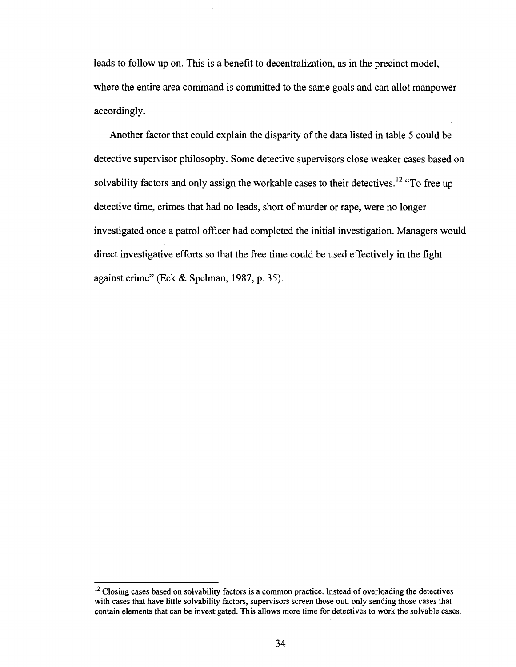leads to follow up on. This is a benefit to decentralization, as in the precinct model, where the entire area command is committed to the same goals and can allot manpower accordingly.

Another factor that could explain the disparity of the data listed in table 5 could be detective supervisor philosophy. Some detective supervisors close weaker cases based on solvability factors and only assign the workable cases to their detectives.<sup>12</sup> "To free up detective time, crimes that had no leads, short of murder or rape, were no longer investigated once a patrol officer had completed the initial investigation. Managers would direct investigative efforts so that the free time could be used effectively in the fight against crime" (Eck & Spelman, 1987, p. 35).

<sup>&</sup>lt;sup>12</sup> Closing cases based on solvability factors is a common practice. Instead of overloading the detectives with cases that have little solvability factors, supervisors screen those out, only sending those cases that contain elements that can be investigated. This allows more time for detectives to work the solvable cases.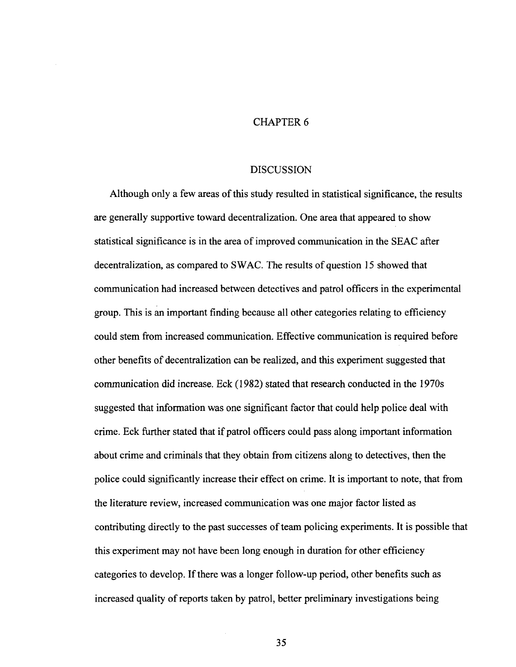# CHAPTER 6

#### DISCUSSION

Although only a few areas of this study resulted in statistical significance, the results are generally supportive toward decentralization. One area that appeared to show statistical significance is in the area of improved communication in the SEAC after decentralization, as compared to SWAC. The results of question 15 showed that communication had increased between detectives and patrol officers in the experimental group. This is an important finding because all other categories relating to efficiency could stem from increased communication. Effective communication is required before other benefits of decentralization can be realized, and this experiment suggested that communication did increase. Eck (1982) stated that research conducted in the 1970s suggested that information was one significant factor that could help police deal with crime. Eck further stated that if patrol officers could pass along important information about crime and criminals that they obtain from citizens along to detectives, then the police could significantly increase their effect on crime. It is important to note, that from the literature review, increased communication was one major factor listed as contributing directly to the past successes of team policing experiments. It is possible that this experiment may not have been long enough in duration for other efficiency categories to develop. If there was a longer follow-up period, other benefits such as increased quality of reports taken by patrol, better preliminary investigations being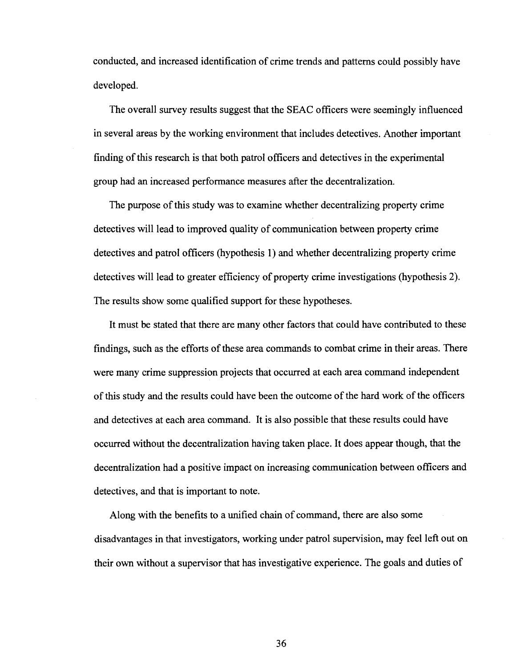conducted, and increased identification of crime trends and patterns could possibly have developed.

The overall survey results suggest that the SEAC officers were seemingly influenced in several areas by the working environment that includes detectives. Another important finding of this research is that both patrol officers and detectives in the experimental group had an increased performance measures after the decentralization.

The purpose of this study was to examine whether decentralizing property crime detectives will lead to improved quality of communication between property crime detectives and patrol officers (hypothesis 1) and whether decentralizing property crime detectives will lead to greater efficiency of property crime investigations (hypothesis 2). The results show some qualified support for these hypotheses.

It must be stated that there are many other factors that could have contributed to these findings, such as the efforts of these area commands to combat crime in their areas. There were many crime suppression projects that occurred at each area command independent of this study and the results could have been the outcome of the hard work of the officers and detectives at each area command. It is also possible that these results could have occurred without the decentralization having taken place. It does appear though, that the decentralization had a positive impact on increasing communication between officers and detectives, and that is important to note.

Along with the benefits to a unified chain of command, there are also some disadvantages in that investigators, working under patrol supervision, may feel left out on their own without a supervisor that has investigative experience. The goals and duties of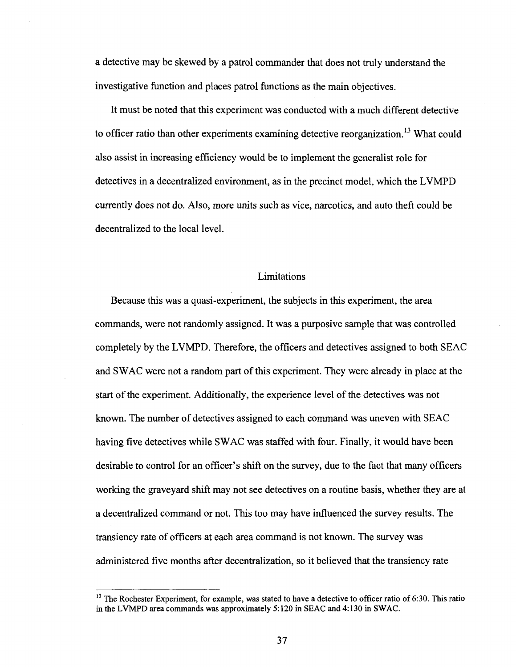a detective may be skewed by a patrol commander that does not truly understand the investigative function and places patrol functions as the main objectives.

It must be noted that this experiment was conducted with a much different detective to officer ratio than other experiments examining detective reorganization.<sup>13</sup> What could also assist in increasing efficiency would be to implement the generalist role for detectives in a decentralized environment, as in the precinct model, which the LVMPD currently does not do. Also, more units such as vice, narcotics, and auto theft could be decentralized to the local level.

# Limitations

Because this was a quasi-experiment, the subjects in this experiment, the area commands, were not randomly assigned. It was a purposive sample that was controlled completely by the LVMPD. Therefore, the officers and detectives assigned to both SEAC and SWAC were not a random part of this experiment. They were already in place at the start of the experiment. Additionally, the experience level of the detectives was not known. The number of detectives assigned to each command was uneven with SEAC having five detectives while SWAC was staffed with four. Finally, it would have been desirable to control for an officer's shift on the survey, due to the fact that many officers working the graveyard shift may not see detectives on a routine basis, whether they are at a decentralized command or not. This too may have influenced the survey results. The transiency rate of officers at each area command is not known. The survey was administered five months after decentralization, so it believed that the transiency rate

<sup>&</sup>lt;sup>13</sup> The Rochester Experiment, for example, was stated to have a detective to officer ratio of 6:30. This ratio in the LVMPD area commands was approximately 5:120 in SEAC and 4:130 in SWAC.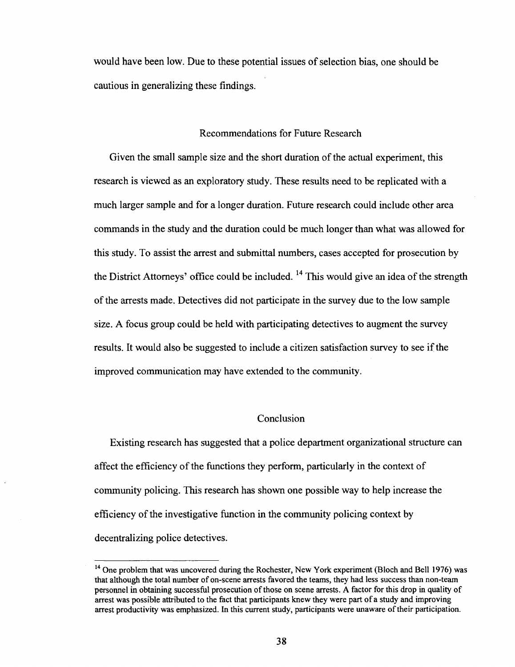would have been low. Due to these potential issues of selection bias, one should be cautious in generalizing these findings.

# Recommendations for Future Research

Given the small sample size and the short duration of the actual experiment, this research is viewed as an exploratory study. These results need to be replicated with a much larger sample and for a longer duration. Future research could include other area commands in the study and the duration could be much longer than what was allowed for this study. To assist the arrest and submittal numbers, cases accepted for prosecution by the District Attorneys' office could be included. <sup>14</sup> This would give an idea of the strength of the arrests made. Detectives did not participate in the survey due to the low sample size. A focus group could be held with participating detectives to augment the survey results. It would also be suggested to include a citizen satisfaction survey to see if the improved communication may have extended to the community.

# Conclusion

Existing research has suggested that a police department organizational structure can affect the efficiency of the functions they perform, particularly in the context of community policing. This research has shown one possible way to help increase the efficiency of the investigative function in the community policing context by decentralizing police detectives.

<sup>&</sup>lt;sup>14</sup> One problem that was uncovered during the Rochester, New York experiment (Bloch and Bell 1976) was that although the total number of on-scene arrests favored the teams, they had less success than non-team personnel in obtaining successful prosecution of those on scene arrests. A factor for this drop in quality of arrest was possible attributed to the fact that participants knew they were part of a study and improving arrest productivity was emphasized. In this current study, participants were unaware of their participation.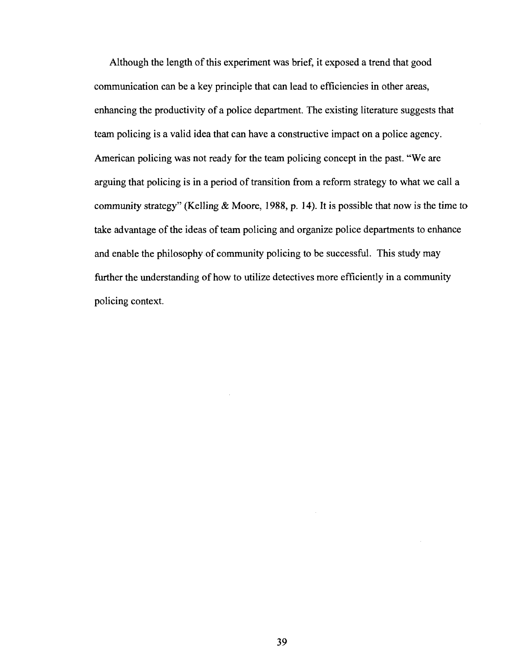Although the length of this experiment was brief, it exposed a trend that good communication can be a key principle that can lead to efficiencies in other areas, enhancing the productivity of a police department. The existing literature suggests that team policing is a valid idea that can have a constructive impact on a police agency. American policing was not ready for the team policing concept in the past. "We are arguing that policing is in a period of transition from a reform strategy to what we call a community strategy" (Kelling  $& Moore, 1988, p. 14$ ). It is possible that now is the time to take advantage of the ideas of team policing and organize police departments to enhance and enable the philosophy of community policing to be successful. This study may further the understanding of how to utilize detectives more efficiently in a community policing context.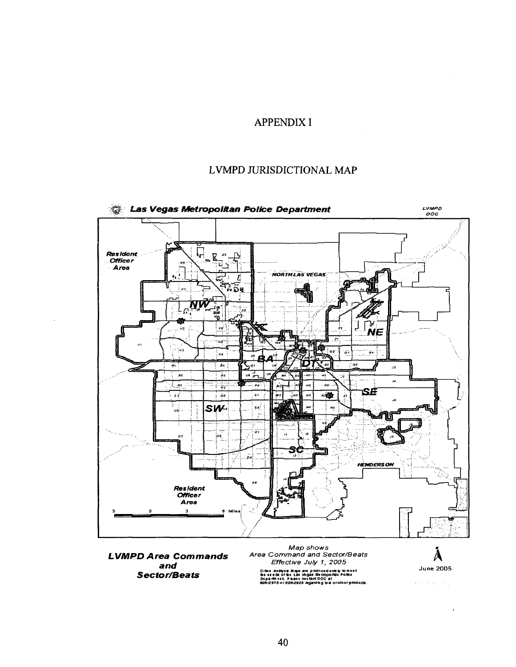# APPENDIX I

# LVMPD JURISDICTIONAL MAP



**and Sector/Beats** 

Crine a sabyst Map sa re p ro dto ed so le by to meet<br>the seeds o the Las Vegas Metro po *illa i Polloe*<br>Dep ar meet, Phase co utbat DOC a t<br>523--29TSor 828-2929 regardleg the or o ther p ro dects.

 $\mathcal{L}(\mathcal{A})$  , we define  $\mathcal{L}(\mathcal{A})$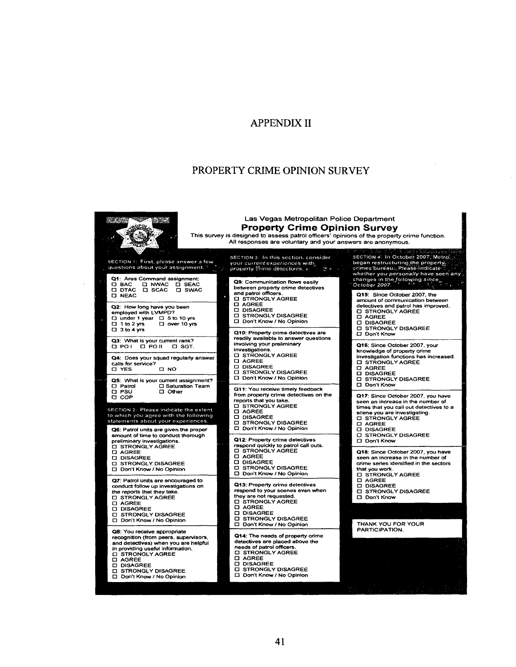# APPENDIX II

# PROPERTY CRIME OPINION SURVEY

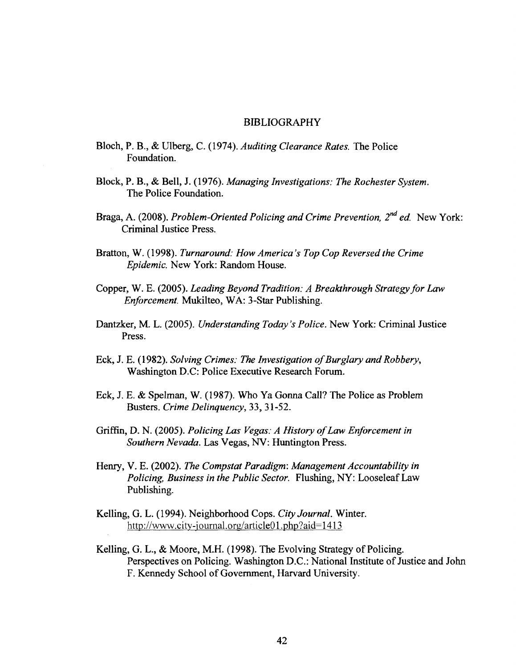#### BIBLIOGRAPHY

- Bloch, P. B., & Ulberg, C. (1974). *Auditing Clearance Rates.* The Police Foundation.
- Block, P. B., & Bell, J. (1976). *Managing Investigations: The Rochester System.*  The Police Foundation.
- Braga, A. (2008). *Problem-Oriented Policing and Crime Prevention, 2<sup>nd</sup> ed.* New York: Criminal Justice Press.
- Bratton, W. (1998). *Turnaround: How America's Top Cop Reversed the Crime Epidemic.* New York: Random House.
- Copper, W. E. (2005). *Leading Beyond Tradition: A Breakthrough Strategy for Law Enforcement.* Mukilteo, WA: 3-Star Publishing.
- Dantzker, M. L. (2005). *Understanding Today's Police.* New York: Criminal Justice Press.
- Eck, J. E. (1982). *Solving Crimes: The Investigation of Burglary and Robbery,*  Washington D.C: Police Executive Research Forum.
- Eck, J. E. & Spelman, W. (1987). Who Ya Gonna Call? The Police as Problem Busters. *Crime Delinquency,* 33, 31-52.
- Griffin, D. N. (2005). *Policing Las Vegas: A History of Law Enforcement in Southern Nevada.* Las Vegas, NV: Huntington Press.
- Henry, V. E. (2002). *The Compstat Paradigm: Management Accountability in Policing, Business in the Public Sector.* Flushing, NY: Looseleaf Law Publishing.
- Kelling, G. L. (1994). Neighborhood Cops. *City Journal.* Winter. http://www.city-journal.org/article01.php?aid=1413
- Kelling, G. L., & Moore, M.H. (1998). The Evolving Strategy of Policing. Perspectives on Policing. Washington D.C: National Institute of Justice and John F. Kennedy School of Government, Harvard University.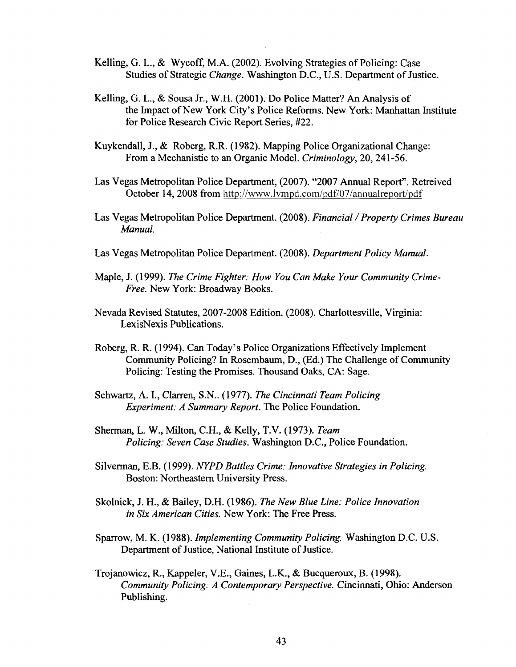- Kelling, G. L., & WycofF, M.A. (2002). Evolving Strategies of Policing: Case Studies of Strategic *Change.* Washington D.C., U.S. Department of Justice.
- Kelling, G. L., & Sousa Jr., W.H. (2001). Do Police Matter? An Analysis of the Impact of New York City's Police Reforms. New York: Manhattan Institute for Police Research Civic Report Series, #22.
- Kuykendall, J., & Roberg, R.R. (1982). Mapping Police Organizational Change: From a Mechanistic to an Organic Model. *Criminology,* 20, 241-56.
- Las Vegas Metropolitan Police Department, (2007). "2007 Annual Report". Retreived October 14, 2008 from <http://www.lvmpd.com/pdf/07/annualreport/pdf>
- Las Vegas Metropolitan Police Department. (2008). *Financial / Property Crimes Bureau Manual.*
- Las Vegas Metropolitan Police Department. (2008). *Department Policy Manual.*
- Maple, J. (1999). *The Crime Fighter: How You Can Make Your Community Crime-Free.* New York: Broadway Books.
- Nevada Revised Statutes, 2007-2008 Edition. (2008). Charlottesville, Virginia: LexisNexis Publications.
- Roberg, R. R. (1994). Can Today's Police Organizations Effectively Implement Community Policing? In Rosembaum, D., (Ed.) The Challenge of Community Policing: Testing the Promises. Thousand Oaks, CA: Sage.
- Schwartz, A. I., Clarren, S.N.. (1977). *The Cincinnati Team Policing Experiment: A Summary Report.* The Police Foundation.
- Sherman, L. W., Milton, C.H., & Kelly, T.V. (1973). *Team Policing: Seven Case Studies.* Washington D.C., Police Foundation.
- Silverman, E.B. (1999). *NYPD Battles Crime: Innovative Strategies in Policing.*  Boston: Northeastern University Press.
- Skolnick, J. H., & Bailey, D.H. (1986). *The New Blue Line: Police Innovation in Six American Cities.* New York: The Free Press.
- Sparrow, M. K. (1988). *Implementing Community Policing.* Washington D.C. U.S. Department of Justice, National Institute of Justice.
- Trojanowicz, R., Kappeler, V.E., Gaines, L.K., & Bucqueroux, B. (1998). *Community Policing: A Contemporary Perspective.* Cincinnati, Ohio: Anderson Publishing.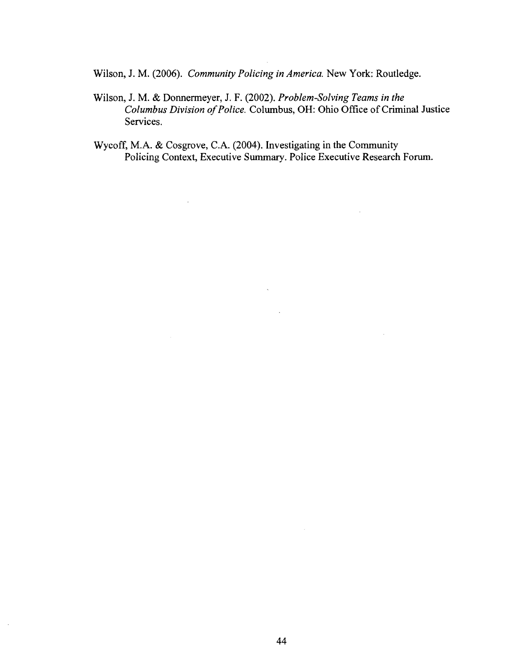Wilson, J. M. (2006). *Community Policing in America.* New York: Routledge.

Wilson, J. M. & Donnermeyer, J. F. (2002). *Problem-Solving Teams in the Columbus Division of Police.* Columbus, OH: Ohio Office of Criminal Justice Services.

 $\sim 10^{-1}$ 

 $\sim 10$ 

Wycoff, M.A. & Cosgrove, C.A. (2004). Investigating in the Community Policing Context, Executive Summary. Police Executive Research Forum.

 $\mathcal{A}^{\pm}$ 

 $\mathcal{L}(\mathcal{A})$  and  $\mathcal{L}(\mathcal{A})$ 

 $\mathcal{L}_{\text{max}}$  and  $\mathcal{L}_{\text{max}}$ 

 $\bar{\alpha}$